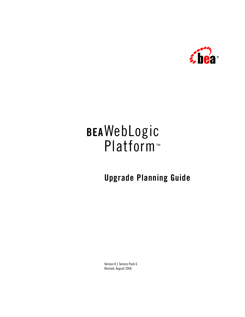

# **BEA**WebLogic Platform

**Upgrade Planning Guide**

Version 8.1 Service Pack 6 Revised: August 2006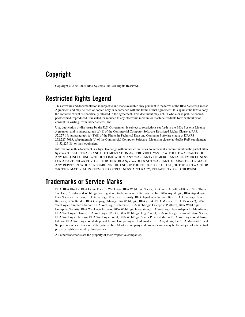### **Copyright**

Copyright © 2004-2006 BEA Systems, Inc. All Rights Reserved.

### **Restricted Rights Legend**

This software and documentation is subject to and made available only pursuant to the terms of the BEA Systems License Agreement and may be used or copied only in accordance with the terms of that agreement. It is against the law to copy the software except as specifically allowed in the agreement. This document may not, in whole or in part, be copied, photocopied, reproduced, translated, or reduced to any electronic medium or machine readable form without prior consent, in writing, from BEA Systems, Inc.

Use, duplication or disclosure by the U.S. Government is subject to restrictions set forth in the BEA Systems License Agreement and in subparagraph (c)(1) of the Commercial Computer Software-Restricted Rights Clause at FAR 52.227-19; subparagraph  $(c)(1)(ii)$  of the Rights in Technical Data and Computer Software clause at DFARS 252.227-7013, subparagraph (d) of the Commercial Computer Software--Licensing clause at NASA FAR supplement 16-52.227-86; or their equivalent.

Information in this document is subject to change without notice and does not represent a commitment on the part of BEA Systems. THE SOFTWARE AND DOCUMENTATION ARE PROVIDED "AS IS" WITHOUT WARRANTY OF ANY KIND INCLUDING WITHOUT LIMITATION, ANY WARRANTY OF MERCHANTABILITY OR FITNESS FOR A PARTICULAR PURPOSE. FURTHER, BEA Systems DOES NOT WARRANT, GUARANTEE, OR MAKE ANY REPRESENTATIONS REGARDING THE USE, OR THE RESULTS OF THE USE, OF THE SOFTWARE OR WRITTEN MATERIAL IN TERMS OF CORRECTNESS, ACCURACY, RELIABILITY, OR OTHERWISE.

### **Trademarks or Service Marks**

BEA, BEA JRockit, BEA Liquid Data for WebLogic, BEA WebLogic Server, Built on BEA, Jolt, JoltBeans, SteelThread, Top End, Tuxedo, and WebLogic are registered trademarks of BEA Systems, Inc. BEA AquaLogic, BEA AquaLogic Data Services Platform, BEA AquaLogic Enterprise Security, BEA AquaLogic Service Bus, BEA AquaLogic Service Registry, BEA Builder, BEA Campaign Manager for WebLogic, BEA eLink, BEA Manager, BEA MessageQ, BEA WebLogic Commerce Server, BEA WebLogic Enterprise, BEA WebLogic Enterprise Platform, BEA WebLogic Enterprise Security, BEA WebLogic Express, BEA WebLogic Integration, BEA WebLogic Java Adapter for Mainframe, BEA WebLogic JDriver, BEA WebLogic JRockit, BEA WebLogic Log Central, BEA WebLogic Personalization Server, BEA WebLogic Platform, BEA WebLogic Portal, BEA WebLogic Server Process Edition, BEA WebLogic WorkGroup Edition, BEA WebLogic Workshop, and Liquid Computing are trademarks of BEA Systems, Inc. BEA Mission Critical Support is a service mark of BEA Systems, Inc. All other company and product names may be the subject of intellectual property rights reserved by third parties.

All other trademarks are the property of their respective companies.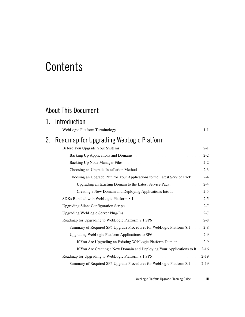# **Contents**

# [About This Document](#page-4-0)

## [1.](#page-8-0) [Introduction](#page-8-1)

|--|

## [2.](#page-10-0) [Roadmap for Upgrading WebLogic Platform](#page-10-1)

| Choosing an Upgrade Path for Your Applications to the Latest Service Pack2-4   |
|--------------------------------------------------------------------------------|
|                                                                                |
|                                                                                |
|                                                                                |
|                                                                                |
|                                                                                |
| Roadmap for Upgrading to WebLogic Platform 8.1 SP6 2-8                         |
| Summary of Required SP6 Upgrade Procedures for WebLogic Platform 8.1 2-8       |
| Upgrading WebLogic Platform Applications to SP6 2-9                            |
| If You Are Upgrading an Existing WebLogic Platform Domain 2-9                  |
| If You Are Creating a New Domain and Deploying Your Applications to It. . 2-16 |
|                                                                                |
| Summary of Required SP5 Upgrade Procedures for WebLogic Platform 8.1 2-19      |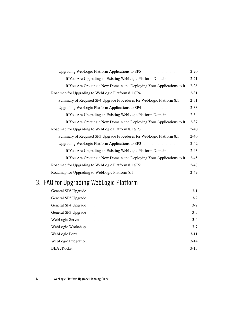| If You Are Upgrading an Existing WebLogic Platform Domain 2-21                 |
|--------------------------------------------------------------------------------|
| If You Are Creating a New Domain and Deploying Your Applications to It. . 2-28 |
|                                                                                |
| Summary of Required SP4 Upgrade Procedures for WebLogic Platform 8.1 2-31      |
|                                                                                |
| If You Are Upgrading an Existing WebLogic Platform Domain 2-34                 |
| If You Are Creating a New Domain and Deploying Your Applications to It. . 2-37 |
|                                                                                |
| Summary of Required SP3 Upgrade Procedures for WebLogic Platform 8.1 2-40      |
| Upgrading WebLogic Platform Applications to SP3 2-42                           |
| If You Are Upgrading an Existing WebLogic Platform Domain 2-43                 |
| If You Are Creating a New Domain and Deploying Your Applications to It. . 2-45 |
|                                                                                |
|                                                                                |

# [3.](#page-62-0) [FAQ for Upgrading WebLogic Platform](#page-62-1)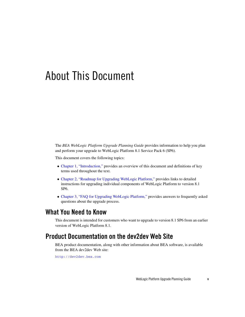# <span id="page-4-0"></span>About This Document

The *BEA WebLogic Platform Upgrade Planning Guide* provides information to help you plan and perform your upgrade to WebLogic Platform 8.1 Service Pack 6 (SP6).

This document covers the following topics:

- [Chapter 1, "Introduction,"](#page-8-3) provides an overview of this document and definitions of key terms used throughout the text.
- [Chapter 2, "Roadmap for Upgrading WebLogic Platform,"](#page-10-3) provides links to detailed instructions for upgrading individual components of WebLogic Platform to version 8.1 SP6.
- [Chapter 3, "FAQ for Upgrading WebLogic Platform,"](#page-62-3) provides answers to frequently asked questions about the upgrade process.

### **What You Need to Know**

This document is intended for customers who want to upgrade to version 8.1 SP6 from an earlier version of WebLogic Platform 8.1.

### **Product Documentation on the dev2dev Web Site**

BEA product documentation, along with other information about BEA software, is available from the BEA dev2dev Web site:

<http://dev2dev.bea.com>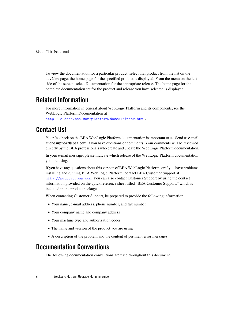To view the documentation for a particular product, select that product from the list on the dev2dev page; the home page for the specified product is displayed. From the menu on the left side of the screen, select Documentation for the appropriate release. The home page for the complete documentation set for the product and release you have selected is displayed.

### **Related Information**

For more information in general about WebLogic Platform and its components, see the WebLogic Platform Documentation at

<http://e-docs.bea.com/platform/docs81/index.html>.

### **Contact Us!**

Your feedback on the BEA WebLogic Platform documentation is important to us. Send us e-mail at **docsupport@bea.com** if you have questions or comments. Your comments will be reviewed directly by the BEA professionals who create and update the WebLogic Platform documentation.

In your e-mail message, please indicate which release of the WebLogic Platform documentation you are using.

If you have any questions about this version of BEA WebLogic Platform, or if you have problems installing and running BEA WebLogic Platform, contact BEA Customer Support at <http://support.bea.com>. You can also contact Customer Support by using the contact information provided on the quick reference sheet titled "BEA Customer Support," which is included in the product package.

When contacting Customer Support, be prepared to provide the following information:

- Your name, e-mail address, phone number, and fax number
- Your company name and company address
- Your machine type and authorization codes
- The name and version of the product you are using
- A description of the problem and the content of pertinent error messages

### **Documentation Conventions**

The following documentation conventions are used throughout this document.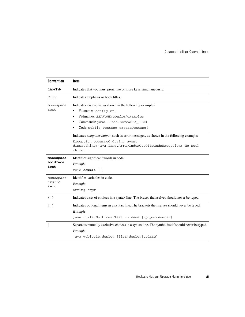| <b>Convention</b>             | Item                                                                                                                                                                                                                            |  |  |
|-------------------------------|---------------------------------------------------------------------------------------------------------------------------------------------------------------------------------------------------------------------------------|--|--|
| $Ctrl+Tab$                    | Indicates that you must press two or more keys simultaneously.                                                                                                                                                                  |  |  |
| italics                       | Indicates emphasis or book titles.                                                                                                                                                                                              |  |  |
| monospace<br>text             | Indicates <i>user input</i> , as shown in the following examples:<br>Filenames: config.xml<br>Pathnames: BEAHOME/config/examples<br>$\bullet$<br>Commands: java -Dbea.home=BEA_HOME<br>٠<br>Code: public TextMsg createTextMsg( |  |  |
|                               | Indicates <i>computer output</i> , such as error messages, as shown in the following example:<br>Exception occurred during event<br>dispatching:java.lang.ArrayIndexOutOfBoundsException: No such<br>child:0                    |  |  |
| monospace<br>boldface<br>text | Identifies significant words in code.<br>Example:<br>void commit ( )                                                                                                                                                            |  |  |
| monospace<br>italic<br>text   | Identifies variables in code.<br>Example:<br>String expr                                                                                                                                                                        |  |  |
| $\{\quad\}$                   | Indicates a set of choices in a syntax line. The braces themselves should never be typed.                                                                                                                                       |  |  |
| $\lceil$ 1                    | Indicates optional items in a syntax line. The brackets themselves should never be typed.<br>Example:<br>java utils. MulticastTest -n name [-p portnumber]                                                                      |  |  |
|                               | Separates mutually exclusive choices in a syntax line. The symbol itself should never be typed.<br>Example:<br>java weblogic.deploy [list deploy update]                                                                        |  |  |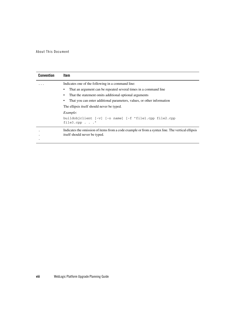#### About This Document

| <b>Convention</b> | Item                                                                                             |  |  |  |  |
|-------------------|--------------------------------------------------------------------------------------------------|--|--|--|--|
|                   | Indicates one of the following in a command line:                                                |  |  |  |  |
|                   | That an argument can be repeated several times in a command line<br>٠                            |  |  |  |  |
|                   | That the statement omits additional optional arguments<br>٠                                      |  |  |  |  |
|                   | That you can enter additional parameters, values, or other information                           |  |  |  |  |
|                   | The ellipsis itself should never be typed.                                                       |  |  |  |  |
|                   | Example:                                                                                         |  |  |  |  |
|                   | buildobjclient $[-v]$ $[-o$ name] $[-f$ "filel.cpp file2.cpp<br>file3.cpp $\ldots$ ."            |  |  |  |  |
|                   | Indicates the omission of items from a code example or from a syntax line. The vertical ellipsis |  |  |  |  |
|                   | itself should never be typed.                                                                    |  |  |  |  |
|                   |                                                                                                  |  |  |  |  |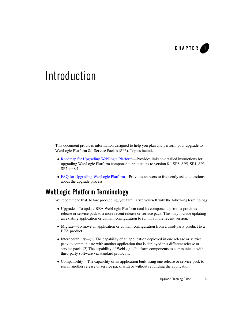

# <span id="page-8-3"></span><span id="page-8-1"></span><span id="page-8-0"></span>Introduction

This document provides information designed to help you plan and perform your upgrade to WebLogic Platform 8.1 Service Pack 6 (SP6). Topics include:

- [Roadmap for Upgrading WebLogic Platform](#page-10-3)—Provides links to detailed instructions for upgrading WebLogic Platform component applications to version 8.1 SP6, SP5, SP4, SP3, SP2, or 8.1.
- [FAQ for Upgrading WebLogic Platform](#page-62-3)—Provides answers to frequently asked questions about the upgrade process.

### <span id="page-8-2"></span>**WebLogic Platform Terminology**

We recommend that, before proceeding, you familiarize yourself with the following terminology:

- Upgrade—To update BEA WebLogic Platform (and its components) from a previous release or service pack to a more recent release or service pack. This may include updating an existing application or domain configuration to run in a more recent version.
- Migrate—To move an application or domain configuration from a third-party product to a BEA product.
- $\bullet$  Interoperability—(1) The capability of an application deployed in one release or service pack to communicate with another application that is deployed in a different release or service pack. (2) The capability of WebLogic Platform components to communicate with third-party software via standard protocols.
- Compatibility—The capability of an application built using one release or service pack to run in another release or service pack, with or without rebuilding the application.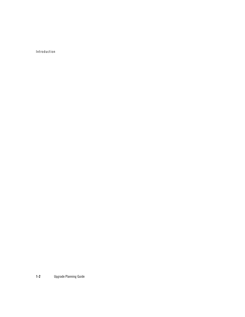Introduction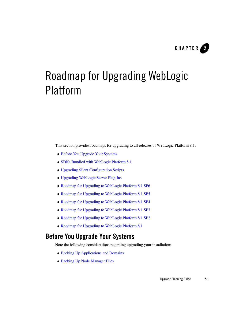

# <span id="page-10-3"></span><span id="page-10-1"></span><span id="page-10-0"></span>Roadmap for Upgrading WebLogic Platform

This section provides roadmaps for upgrading to all releases of WebLogic Platform 8.1:

- [Before You Upgrade Your Systems](#page-10-2)
- [SDKs Bundled with WebLogic Platform 8.1](#page-14-1)
- [Upgrading Silent Configuration Scripts](#page-16-0)
- [Upgrading WebLogic Server Plug-Ins](#page-16-1)
- [Roadmap for Upgrading to WebLogic Platform 8.1 SP6](#page-17-0)
- [Roadmap for Upgrading to WebLogic Platform 8.1 SP5](#page-28-0)
- [Roadmap for Upgrading to WebLogic Platform 8.1 SP4](#page-40-0)
- [Roadmap for Upgrading to WebLogic Platform 8.1 SP3](#page-49-0)
- [Roadmap for Upgrading to WebLogic Platform 8.1 SP2](#page-57-0)
- [Roadmap for Upgrading to WebLogic Platform 8.1](#page-58-0)

### <span id="page-10-2"></span>**Before You Upgrade Your Systems**

Note the following considerations regarding upgrading your installation:

- [Backing Up Applications and Domains](#page-11-0)
- [Backing Up Node Manager Files](#page-11-1)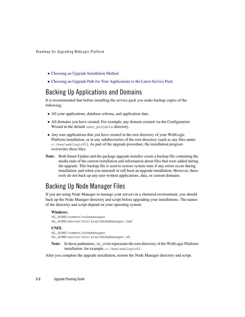#### Roadmap for Upgrading WebLogic Platform

- [Choosing an Upgrade Installation Method](#page-12-0)
- [Choosing an Upgrade Path for Your Applications to the Latest Service Pack](#page-13-0)

### <span id="page-11-0"></span>Backing Up Applications and Domains

It is recommended that before installing the service pack you make backup copies of the following:

- All your applications, database schema, and application data.
- All domains you have created. For example, any domain created via the Configuration Wizard in the default user\_projects directory.
- Any user applications that you have created in the root directory of your WebLogic Platform installation, or in any subdirectories of the root directory (such as any files under c:\bea\weblogic81). As part of the upgrade procedure, the installation program overwrites these files.
- **Note:** Both Smart Update and the package upgrade installer create a backup file containing the media state of the current installation and information about files that were added during the upgrade. This backup file is used to restore system state if any errors occur during installation, and when you uninstall or roll back an upgrade installation. However, these tools do not back up any user-written applications, data, or custom domains.

## <span id="page-11-1"></span>Backing Up Node Manager Files

If you are using Node Manager to manage your servers in a clustered environment, you should back up the Node Manager directory and script before upgrading your installations. The names of the directory and script depend on your operating system:

#### **Windows**:

```
WL_HOME\common\nodemanager
WL_HOME\server\bin\startNodeManager.cmd
```
#### **UNIX**:

WL\_HOME/common/nodemanager WL\_HOME/server/bin/startNodeManager.sh

**Note:** In these pathnames,  $W_L$  HOME represents the root directory of the WebLogic Platform installation, for example, c:\bea\weblogic81.

After you complete the upgrade installation, restore the Node Manager directory and script.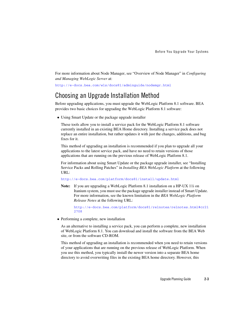For more information about Node Manager, see "Overview of Node Manager" in *Configuring and Managing WebLogic Server* at:

[http://e-docs.bea.com/wls/docs81/adminguide/nodemgr.html](../../../wls/docs81/adminguide/nodemgr.html)

## <span id="page-12-0"></span>Choosing an Upgrade Installation Method

Before upgrading applications, you must upgrade the WebLogic Platform 8.1 software. BEA provides two basic choices for upgrading the WebLogic Platform 8.1 software:

• Using Smart Update or the package upgrade installer

These tools allow you to install a service pack for the WebLogic Platform 8.1 software currently installed in an existing BEA Home directory. Installing a service pack does not replace an entire installation, but rather updates it with just the changes, additions, and bug fixes for it.

This method of upgrading an installation is recommended if you plan to upgrade all your applications to the latest service pack, and have no need to retain versions of those applications that are running on the previous release of WebLogic Platform 8.1.

For information about using Smart Update or the package upgrade installer, see "Installing Service Packs and Rolling Patches" in *Installing BEA WebLogic Platform* at the following URL:

[http://e-docs.bea.com/platform/docs81/install/update.html](../install/update.html) 

**Note:** If you are upgrading a WebLogic Platform 8.1 installation on a HP-UX 11i on Itanium system, you must use the package upgrade installer instead of Smart Update. For more information, see the known limitation in the *BEA WebLogic Platform Release Notes* at the following URL:

[http://e-docs.bea.com/platform/docs81/relnotes/relnotes.html#cr21](../relnotes/relnotes.html#cr212708) 2708

• Performing a complete, new installation

As an alternative to installing a service pack, you can perform a complete, new installation of WebLogic Platform 8.1. You can download and install the software from the BEA Web site, or from the software CD-ROM.

This method of upgrading an installation is recommended when you need to retain versions of your applications that are running on the previous release of WebLogic Platform. When you use this method, you typically install the newer version into a separate BEA home directory to avoid overwriting files in the existing BEA home directory. However, this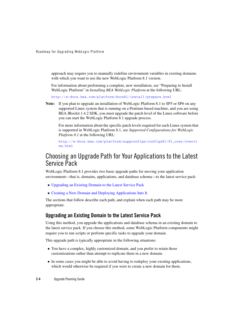approach may require you to manually redefine environment variables in existing domains with which you want to use the new WebLogic Platform 8.1 version.

For information about performing a complete, new installation, see "Preparing to Install WebLogic Platform" in *Installing BEA WebLogic Platform* at the following URL:

[http://e-docs.bea.com/platform/docs81/install/prepare.html](../install/prepare.html)

**Note:** If you plan to upgrade an installation of WebLogic Platform 8.1 to SP5 or SP6 on any supported Linux system that is running on a Pentium-based machine, and you are using BEA JRockit 1.4.2 SDK, you must upgrade the patch level of the Linux software before you can start the WebLogic Platform 8.1 upgrade process.

For more information about the specific patch levels required for each Linux system that is supported in WebLogic Platform 8.1, see *Supported Configurations for WebLogic Platform 8.1* at the following URL:

[http://e-docs.bea.com/platform/suppconfigs/configs81/81\\_over/overvi](http://e-docs.bea.com/platform/suppconfigs/configs81/81_over/overview.html) ew.html

### <span id="page-13-0"></span>Choosing an Upgrade Path for Your Applications to the Latest Service Pack

WebLogic Platform 8.1 provides two basic upgrade paths for moving your application environment—that is, domains, applications, and database schema—to the latest service pack:

- [Upgrading an Existing Domain to the Latest Service Pack](#page-13-1)
- [Creating a New Domain and Deploying Applications Into It](#page-14-0)

The sections that follow describe each path, and explain when each path may be more appropriate.

### <span id="page-13-1"></span>**Upgrading an Existing Domain to the Latest Service Pack**

Using this method, you upgrade the applications and database schema in an existing domain to the latest service pack. If you choose this method, some WebLogic Platform components might require you to run scripts or perform specific tasks to upgrade your domain.

This upgrade path is typically appropriate in the following situations:

- You have a complex, highly customized domain, and you prefer to retain those customizations rather than attempt to replicate them in a new domain.
- In some cases you might be able to avoid having to redeploy your existing applications, which would otherwise be required if you were to create a new domain for them.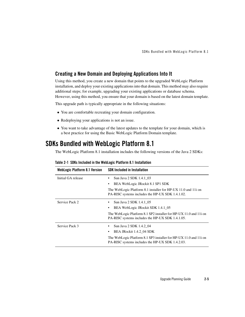### <span id="page-14-0"></span>**Creating a New Domain and Deploying Applications Into It**

Using this method, you create a new domain that points to the upgraded WebLogic Platform installation, and deploy your existing applications into that domain. This method may also require additional steps; for example, upgrading your existing applications or database schema. However, using this method, you ensure that your domain is based on the latest domain template.

This upgrade path is typically appropriate in the following situations:

- You are comfortable recreating your domain configuration.
- Redeploying your applications is not an issue.
- You want to take advantage of the latest updates to the template for your domain, which is a best practice for using the Basic WebLogic Platform Domain template.

### <span id="page-14-1"></span>**SDKs Bundled with WebLogic Platform 8.1**

The WebLogic Platform 8.1 installation includes the following versions of the Java 2 SDKs:

| <b>WebLogic Platform 8.1 Version</b> | <b>SDK Included in Installation</b>                                                                                   |  |
|--------------------------------------|-----------------------------------------------------------------------------------------------------------------------|--|
| Initial GA release                   | Sun Java 2 SDK 1.4.1 03                                                                                               |  |
|                                      | BEA WebLogic JRockit 8.1 SP1 SDK                                                                                      |  |
|                                      | The WebLogic Platform 8.1 installer for HP-UX 11.0 and 11i on<br>PA-RISC systems includes the HP-UX SDK 1.4.1.02.     |  |
| Service Pack 2                       | Sun Java 2 SDK 1.4.1 05                                                                                               |  |
|                                      | BEA WebLogic JRockit SDK 1.4.1 05                                                                                     |  |
|                                      | The WebLogic Platform 8.1 SP2 installer for HP-UX 11.0 and 11i on<br>PA-RISC systems includes the HP-UX SDK 1.4.1.05. |  |
| Service Pack 3                       | Sun Java 2 SDK 1.4.2 04                                                                                               |  |
|                                      | BEA JRockit 1.4.2 04 SDK<br>٠                                                                                         |  |
|                                      | The WebLogic Platform 8.1 SP3 installer for HP-UX 11.0 and 11i on<br>PA-RISC systems includes the HP-UX SDK 1.4.2.03. |  |

**Table 2-1 SDKs Included in the WebLogic Platform 8.1 Installation**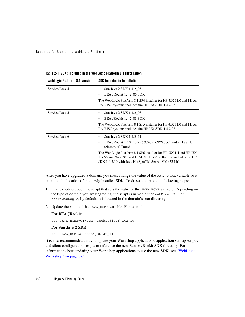| <b>WebLogic Platform 8.1 Version</b> | <b>SDK Included in Installation</b>                                                                                                                                                                                                                                                                      |
|--------------------------------------|----------------------------------------------------------------------------------------------------------------------------------------------------------------------------------------------------------------------------------------------------------------------------------------------------------|
| Service Pack 4                       | Sun Java 2 SDK 1.4.2 05<br>BEA JRockit 1.4.2_05 SDK<br>The WebLogic Platform 8.1 SP4 installer for HP-UX 11.0 and 11i on<br>PA-RISC systems includes the HP-UX SDK 1.4.2.05.                                                                                                                             |
| Service Pack 5                       | Sun Java 2 SDK 1.4.2 08<br>BEA JRockit 1.4.2_08 SDK<br>The WebLogic Platform 8.1 SP5 installer for HP-UX 11.0 and 11i on<br>PA-RISC systems includes the HP-UX SDK 1.4.2.08.                                                                                                                             |
| Service Pack 6                       | Sun Java 2 SDK 1.4.2 11<br>BEA JRockit 1.4.2 10 R26.3.0-32 CR283061 and all later 1.4.2<br>releases of JRockit<br>The WebLogic Platform 8.1 SP6 installer for HP-UX 11 and HP-UX<br>11 V2 on PA-RISC, and HP-UX 11 V2 on Itanium includes the HP<br>JDK 1.4.2.10 with Java HotSpotTM Server VM (32-bit). |

**Table 2-1 SDKs Included in the WebLogic Platform 8.1 Installation**

After you have upgraded a domain, you must change the value of the JAVA\_HOME variable so it points to the location of the newly installed SDK. To do so, complete the following steps:

- 1. In a text editor, open the script that sets the value of the JAVA\_HOME variable. Depending on the type of domain you are upgrading, the script is named either setDomainEnv or startWebLogic, by default. It is located in the domain's root directory.
- 2. Update the value of the JAVA\_HOME variable. For example:

#### **For BEA JRockit:**

set JAVA\_HOME=C:\bea\jrockit81sp6\_142\_10

#### **For Sun Java 2 SDK:**

set JAVA\_HOME=C:\bea\jdk142\_11

It is also recommended that you update your Workshop applications, application startup scripts, and silent configuration scripts to reference the new Sun or JRockit SDK directory. For information about updating your Workshop applications to use the new SDK, see ["WebLogic](#page-68-1)  [Workshop" on page 3-7.](#page-68-1)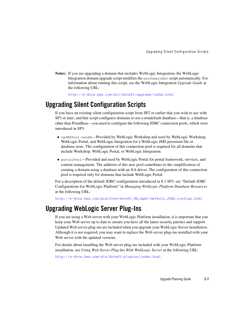**Notes:** If you are upgrading a domain that includes WebLogic Integration, the WebLogic Integration domain upgrade script modifies the setDomainEnv script automatically. For information about running this script, see the WebLogic Integration *Upgrade Guide* at the following URL:

[http://e-docs.bea.com/wli/docs81/upgrade/index.html](../../../wli/docs81/upgrade/index.html)

## <span id="page-16-0"></span>**Upgrading Silent Configuration Scripts**

If you have an existing silent configuration script from SP2 or earlier that you wish to use with SP3 or later, and that script configures domains to use a nondefault database—that is, a database other than PointBase—you need to configure the following JDBC connection pools, which were introduced in SP3:

- cgJMSPool-nonXA—Provided by WebLogic Workshop and used by WebLogic Workshop, WebLogic Portal, and WebLogic Integration for a WebLogic JMS persistent file or database store. The configuration of this connection pool is required for all domains that include Workshop, WebLogic Portal, or WebLogic Integration.
- portalPool—Provided and used by WebLogic Portal for portal framework, services, and content management. The addition of this new pool contributes to the simplification of creating a domain using a database with an XA driver. The configuration of this connection pool is required only for domains that include WebLogic Portal.

For a description of the default JDBC configuration introduced in 8.1 SP3, see "Default JDBC Configurations for WebLogic Platform" in *Managing WebLogic Platform Database Resources*  at the following URL:

[http://e-docs.bea.com/platform/docs81/db\\_mgmt/default\\_JDBC\\_configs.html](../db_mgmt/default_JDBC_configs.html)

### <span id="page-16-1"></span>**Upgrading WebLogic Server Plug-Ins**

If you are using a Web server with your WebLogic Platform installation, it is important that you keep your Web server up to date to ensure you have all the latest security patches and support. Updated Web server plug-ins are included when you upgrade your WebLogic Server installation. Although it is not required, you may want to replace the Web server plug-ins installed with your Web server with the updated versions.

For details about installing the Web server plug-ins included with your WebLogic Platform installation, see *Using Web Server Plug-Ins With WebLogic Server* at the following URL:

[http://e-docs.bea.com/wls/docs81/plugins/index.html](../../../wls/docs81/plugins/index.html)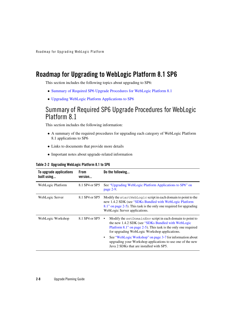## <span id="page-17-0"></span>**Roadmap for Upgrading to WebLogic Platform 8.1 SP6**

This section includes the following topics about upgrading to SP6:

- [Summary of Required SP6 Upgrade Procedures for WebLogic Platform 8.1](#page-17-1)
- [Upgrading WebLogic Platform Applications to SP6](#page-18-0)

### <span id="page-17-1"></span>Summary of Required SP6 Upgrade Procedures for WebLogic Platform 8.1

This section includes the following information:

- A summary of the required procedures for upgrading each category of WebLogic Platform 8.1 applications to SP6
- Links to documents that provide more details
- Important notes about upgrade-related information

| Table 2-2 Upgrading WebLogic Platform 8.1 to SP6 |  |  |  |
|--------------------------------------------------|--|--|--|
|                                                  |  |  |  |

| To upgrade applications<br>built using | <b>From</b><br>version | Do the following                                                                                                                                                                                                                                                                                                                                                                                                            |
|----------------------------------------|------------------------|-----------------------------------------------------------------------------------------------------------------------------------------------------------------------------------------------------------------------------------------------------------------------------------------------------------------------------------------------------------------------------------------------------------------------------|
| WebLogic Platform                      | 8.1 SP4 or SP5         | See "Upgrading WebLogic Platform Applications to SP6" on<br>page $2-9$ .                                                                                                                                                                                                                                                                                                                                                    |
| WebLogic Server                        | 8.1 SP4 or SP5         | Modify the start WebLogic script in each domain to point to the<br>new 1.4.2 SDK (see "SDKs Bundled with WebLogic Platform<br>8.1" on page 2-5). This task is the only one required for upgrading<br>WebLogic Server applications.                                                                                                                                                                                          |
| WebLogic Workshop                      | 8.1 SP4 or SP5         | Modify the set Domain Env script in each domain to point to<br>the new 1.4.2 SDK (see "SDKs Bundled with WebLogic<br>Platform 8.1" on page $2-5$ ). This task is the only one required<br>for upgrading WebLogic Workshop applications.<br>See "WebLogic Workshop" on page 3-7 for information about<br>$\bullet$<br>upgrading your Workshop applications to use one of the new<br>Java 2 SDKs that are installed with SP5. |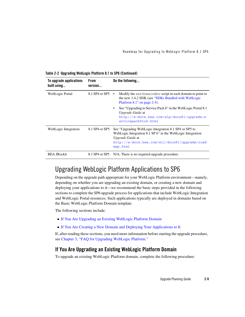| To upgrade applications<br>built using | <b>From</b><br>version | Do the following                                                                                                                                                                                     |
|----------------------------------------|------------------------|------------------------------------------------------------------------------------------------------------------------------------------------------------------------------------------------------|
| WebLogic Portal                        | 8.1 SP4 or SP5         | Modify the set Domain Env script in each domain to point to<br>the new 1.4.2 SDK (see "SDKs Bundled with WebLogic<br>Platform $8.1$ " on page $2-5$ ).                                               |
|                                        |                        | See "Upgrading to Service Pack 6" in the WebLogic Portal 8.1<br>$\bullet$<br><i>Upgrade Guide</i> at<br>http://e-docs.bea.com/wlp/docs81/upgrade/s<br>ervicepack5to6.html                            |
| WebLogic Integration                   | 8.1 SP4 or SP5         | See "Upgrading WebLogic Integration 8.1 SP4 or SP5 to<br>WebLogic Integration 8.1 SP 6" in the WebLogic Integration<br>Upgrade Guide at<br>http://e-docs.bea.com/wli/docs81/upgrade/road<br>map.html |
| <b>BEA JRockit</b>                     | 8.1 SP4 or SP5         | N/A. There is no required upgrade procedure.                                                                                                                                                         |

**Table 2-2 Upgrading WebLogic Platform 8.1 to SP6 (Continued)**

### <span id="page-18-0"></span>Upgrading WebLogic Platform Applications to SP6

Depending on the upgrade path appropriate for your WebLogic Platform environment—namely, depending on whether you are upgrading an existing domain, or creating a new domain and deploying your applications to it—we recommend the basic steps provided in the following sections to complete the SP6 upgrade process for applications that include WebLogic Integration and WebLogic Portal resources. Such applications typically are deployed in domains based on the Basic WebLogic Platform Domain template.

The following sections include:

- [If You Are Upgrading an Existing WebLogic Platform Domain](#page-30-0)
- [If You Are Creating a New Domain and Deploying Your Applications to It](#page-37-0)

If, after reading these sections, you need more information before starting the upgrade procedure, see [Chapter 3, "FAQ for Upgrading WebLogic Platform."](#page-62-3)

### <span id="page-18-1"></span>**If You Are Upgrading an Existing WebLogic Platform Domain**

To upgrade an existing WebLogic Platform domain, complete the following procedure: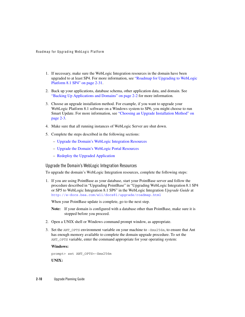#### Roadmap for Upgrading WebLogic Platform

- 1. If necessary, make sure the WebLogic Integration resources in the domain have been upgraded to at least SP4. For more information, see ["Roadmap for Upgrading to WebLogic](#page-40-0)  [Platform 8.1 SP4" on page 2-31](#page-40-0).
- 2. Back up your applications, database schema, other application data, and domain. See ["Backing Up Applications and Domains" on page 2-2](#page-11-0) for more information.
- 3. Choose an upgrade installation method. For example, if you want to upgrade your WebLogic Platform 8.1 software on a Windows system to SP6, you might choose to run Smart Update. For more information, see ["Choosing an Upgrade Installation Method" on](#page-12-0)  [page 2-3](#page-12-0).
- 4. Make sure that all running instances of WebLogic Server are shut down.
- 5. Complete the steps described in the following sections:
	- [Upgrade the Domain's WebLogic Integration Resources](#page-30-1)
	- [Upgrade the Domain's WebLogic Portal Resources](#page-35-0)
	- [Redeploy the Upgraded Application](#page-36-0)

#### Upgrade the Domain's WebLogic Integration Resources

To upgrade the domain's WebLogic Integration resources, complete the following steps:

1. If you are using PointBase as your database, start your PointBase server and follow the procedure described in "Upgrading PointBase" in "Upgrading WebLogic Integration 8.1 SP4 or SP5 to WebLogic Integration 8.1 SP6" in the WebLogic Integration *Upgrade Guide* at [http://e-docs.bea.com/wli/docs81/upgrade/roadmap.html](../../../wli/docs81/upgrade/roadmap.html)

When your PointBase update is complete, go to the next step.

- **Note:** If your domain is configured with a database other than PointBase, make sure it is stopped before you proceed.
- 2. Open a UNIX shell or Windows command prompt window, as appropriate.
- 3. Set the  $ANT\_OPTS$  environment variable on your machine to  $-Xmx256m$ , to ensure that Ant has enough memory available to complete the domain upgrade procedure. To set the ANT\_OPTS variable, enter the command appropriate for your operating system:

#### **Windows:**

prompt> set ANT\_OPTS=-Xmx256m **UNIX:**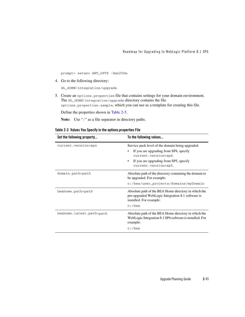prompt> setenv ANT\_OPTS -Xmx256m

4. Go to the following directory:

WL\_HOME/integration/upgrade

5. Create an options.properties file that contains settings for your domain environment. The WL\_HOME/integration/upgrade directory contains the file options.properties.sample, which you can use as a template for creating this file.

Define the properties shown in [Table 2-5](#page-31-0).

Note: Use "/" as a file separator in directory paths.

| Set the following property | To the following values                                                                                                                                                              |
|----------------------------|--------------------------------------------------------------------------------------------------------------------------------------------------------------------------------------|
| current.version=spn        | Service pack level of the domain being upgraded:<br>If you are upgrading from SP4, specify<br>current.version=sp4.<br>If you are upgrading from SP5, specify<br>current.version=sp5. |
| domain.path=path           | Absolute path of the directory containing the domain to<br>be upgraded. For example:<br>c:/bea/user_projects/domains/myDomain                                                        |
| beahome.path=path          | Absolute path of the BEA Home directory in which the<br>pre-upgraded WebLogic Integration 8.1 software is<br>installed. For example:<br>$c$ :/bea                                    |
| beahome.latest.path=path   | Absolute path of the BEA Home directory in which the<br>WebLogic Integration 8.1 SP6 software is installed. For<br>example:<br>$c$ :/bea                                             |

**Table 2-3 Values You Specify in the options.properties File**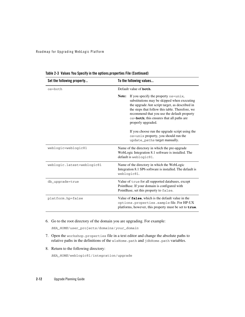| Set the following property | To the following values                                                                                                                                                                                                                                                                                            |
|----------------------------|--------------------------------------------------------------------------------------------------------------------------------------------------------------------------------------------------------------------------------------------------------------------------------------------------------------------|
| os=both                    | Default value of <b>both</b> .                                                                                                                                                                                                                                                                                     |
|                            | If you specify the property os=unix,<br>Note:<br>substitutions may be skipped when executing<br>the upgrade Ant script target, as described in<br>the steps that follow this table. Therefore, we<br>recommend that you use the default property<br>os=both; this ensures that all paths are<br>properly upgraded. |
|                            | If you choose run the upgrade script using the<br>os=unix property, you should run the<br>update_paths target manually.                                                                                                                                                                                            |
| weblogic=weblogic81        | Name of the directory in which the pre-upgrade<br>WebLogic Integration 8.1 software is installed. The<br>default is weblogic81.                                                                                                                                                                                    |
| weblogic.latest=weblogic81 | Name of the directory in which the WebLogic<br>Integration 8.1 SP6 software is installed. The default is<br>weblogic81.                                                                                                                                                                                            |
| db_upgrade=true            | Value of true for all supported databases, except<br>PointBase. If your domain is configured with<br>PointBase, set this property to false.                                                                                                                                                                        |
| platform.hp=false          | Value of <b>false</b> , which is the default value in the<br>options.properties.samplefile.For HP-UX<br>platforms, however, this property must be set to true.                                                                                                                                                     |

**Table 2-3 Values You Specify in the options.properties File (Continued)**

6. Go to the root directory of the domain you are upgrading. For example:

BEA\_HOME/user\_projects/domains/your\_domain

- 7. Open the workshop.properties file in a text editor and change the absolute paths to relative paths in the definitions of the wlsHome.path and jdkHome.path variables.
- 8. Return to the following directory:

BEA\_HOME/weblogic81/integration/upgrade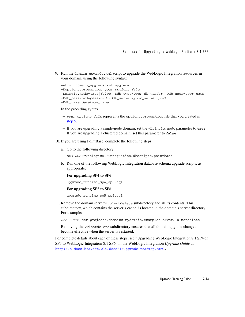9. Run the domain upgrade.xml script to upgrade the WebLogic Integration resources in your domain, using the following syntax:

```
ant -f domain_upgrade.xml upgrade 
-Doptions.properties=your_options_file
-Dsingle.node=true|false -Ddb_type=your_db_vendor -Ddb_user=user_name
-Ddb_password=password -Ddb_server=your_server:port
-Ddb_name=database_name
```
In the preceding syntax:

- your\_options\_file represents the options.properties file that you created in [step 5.](#page-31-1)
- If you are upgrading a single-node domain, set the -Dsingle.node parameter to **true**. If you are upgrading a clustered domain, set this parameter to **false**.

10. If you are using PointBase, complete the following steps:

a. Go to the following directory:

BEA\_HOME/weblogic81/integration/dbscripts/pointbase

b. Run one of the following WebLogic Integration database schema upgrade scripts, as appropriate:

#### **For upgrading SP4 to SP6:**

```
upgrade_runtime_sp4_sp6.sql
```
#### **For upgrading SP5 to SP6:**

upgrade\_runtime\_sp5\_sp6.sql

11. Remove the domain server's .wlnotdelete subdirectory and all its contents. This subdirectory, which contains the server's cache, is located in the domain's server directory. For example:

BEA\_HOME/user\_projects/domains/mydomain/examplesServer/.wlnotdelete

Removing the .wlnotdelete subdirectory ensures that all domain upgrade changes become effective when the server is restarted.

For complete details about each of these steps, see "Upgrading WebLogic Integration 8.1 SP4 or SP5 to WebLogic Integration 8.1 SP6" in the WebLogic Integration *Upgrade Guide* at [http://e-docs.bea.com/wli/docs81/upgrade/roadmap.html](../../../wli/docs81/upgrade/roadmap.html).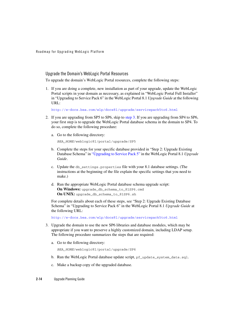#### Upgrade the Domain's WebLogic Portal Resources

To upgrade the domain's WebLogic Portal resources, complete the following steps:

1. If you are doing a complete, new installation as part of your upgrade, update the WebLogic Portal scripts in your domain as necessary, as explained in "WebLogic Portal Full Installer" in "Upgrading to Service Pack 6" in the WebLogic Portal 8.1 *Upgrade Guide* at the following URL:

[http://e-docs.bea.com/wlp/docs81/upgrade/servicepack5to6.html](../../../wlp/docs81/upgrade/servicepack5to6.html)

- 2. If you are upgrading from SP5 to SP6, skip to [step 3.](#page-35-1) If you are upgrading from SP4 to SP6, your first step is to upgrade the WebLogic Portal database schema in the domain to SP4. To do so, complete the following procedure:
	- a. Go to the following directory:

BEA\_HOME/weblogic81/portal/upgrade/SP5

- b. Complete the steps for your specific database provided in "Step 2: Upgrade Existing Database Schema" in ["Upgrading to Service Pack 5"](../../../wlp/docs81/upgrade/servicepack3to4.html) in the WebLogic Portal 8.1 *Upgrade Guide*.
- c. Update the db\_settings.properties file with your 8.1 database settings. (The instructions at the beginning of the file explain the specific settings that you need to make.)
- d. Run the appropriate WebLogic Portal database schema upgrade script: **On Windows:** upgrade\_db\_schema\_to\_81SP6.cmd **On UNIX:** upgrade\_db\_schema\_to\_81SP6.sh

For complete details about each of these steps, see "Step 2: Upgrade Existing Database Schema" in "Upgrading to Service Pack 6" in the WebLogic Portal 8.1 *Upgrade Guide* at the following URL:

[http://e-docs.bea.com/wlp/docs81/upgrade/servicepack5to6.html](../../../wlp/docs81/upgrade/servicepack4to5.html)

- 3. Upgrade the domain to use the new SP6 libraries and database modules, which may be appropriate if you want to preserve a highly customized domain, including LDAP setup. The following procedure summarizes the steps that are required:
	- a. Go to the following directory:

BEA\_HOME/weblogic81/portal/upgrade/SP6

- b. Run the WebLogic Portal database update script,  $pf$  update system data.sql.
- c. Make a backup copy of the upgraded database.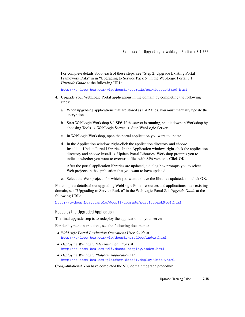For complete details about each of these steps, see "Step 2: Upgrade Existing Portal Framework Data" in in "Upgrading to Service Pack 6" in the WebLogic Portal 8.1 *Upgrade Guide* at the following URL:

[http://e-docs.bea.com/wlp/docs81/upgrade/servicepack5to6.html](../../../wlp/docs81/upgrade/servicepack5to6.html)

- 4. Upgrade your WebLogic Portal applications in the domain by completing the following steps:
	- a. When upgrading applications that are stored as EAR files, you must manually update the encryption.
	- b. Start WebLogic Workshop 8.1 SP6. If the server is running, shut it down in Workshop by choosing Tools→ WebLogic Server→ Stop WebLogic Server.
	- c. In WebLogic Workshop, open the portal application you want to update.
	- d. In the Application window, right-click the application directory and choose Install→ Update Portal Libraries. In the Application window, right-click the application directory and choose Install→ Update Portal Libraries. Workshop prompts you to indicate whether you want to overwrite files with SP6 versions. Click OK.

After the portal application libraries are updated, a dialog box prompts you to select Web projects in the application that you want to have updated.

e. Select the Web projects for which you want to have the libraries updated, and click OK.

For complete details about upgrading WebLogic Portal resources and applications in an existing domain, see "Upgrading to Service Pack 6" in the WebLogic Portal 8.1 *Upgrade Guide* at the following URL:

[http://e-docs.bea.com/wlp/docs81/upgrade/servicepack5to6.html](../../../wlp/docs81/upgrade/servicepack4to5.html)

#### Redeploy the Upgraded Application

The final upgrade step is to redeploy the application on your server.

For deployment instructions, see the following documents:

- *WebLogic Portal Production Operations User Guide* at [http://e-docs.bea.com/wlp/docs81/prodOps/index.html](../../../wlp/docs81/prodOps/index.html)
- <sup>z</sup> *Deploying WebLogic Integration Solutions* at [http://e-docs.bea.com/wli/docs81/deploy/index.html](../../../wli/docs81/deploy/index.html)
- <sup>z</sup> *Deploying WebLogic Platform Applications* at [http://e-docs.bea.com/platform/docs81/deploy/index.html](../deploy/index.html)

Congratulations! You have completed the SP6 domain upgrade procedure.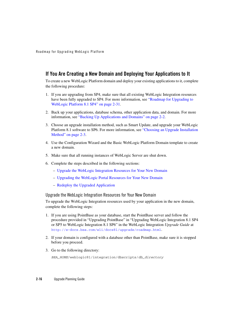#### <span id="page-25-0"></span>**If You Are Creating a New Domain and Deploying Your Applications to It**

To create a new WebLogic Platform domain and deploy your existing applications to it, complete the following procedure:

- 1. If you are upgrading from SP4, make sure that all existing WebLogic Integration resources have been fully upgraded to SP4. For more information, see ["Roadmap for Upgrading to](#page-40-0)  [WebLogic Platform 8.1 SP4" on page 2-31](#page-40-0).
- 2. Back up your applications, database schema, other application data, and domain. For more information, see ["Backing Up Applications and Domains" on page 2-2](#page-11-0).
- 3. Choose an upgrade installation method, such as Smart Update, and upgrade your WebLogic Platform 8.1 software to SP6. For more information, see ["Choosing an Upgrade Installation](#page-12-0)  [Method" on page 2-3.](#page-12-0)
- 4. Use the Configuration Wizard and the Basic WebLogic Platform Domain template to create a new domain.
- 5. Make sure that all running instances of WebLogic Server are shut down.
- 6. Complete the steps described in the following sections:
	- [Upgrade the WebLogic Integration Resources for Your New Domain](#page-37-1)
	- [Upgrading the WebLogic Portal Resources for Your New Domain](#page-38-0)
	- [Redeploy the Upgraded Application](#page-40-2)

#### Upgrade the WebLogic Integration Resources for Your New Domain

To upgrade the WebLogic Integration resources used by your application in the new domain, complete the following steps:

- 1. If you are using PointBase as your database, start the PointBase server and follow the procedure provided in "Upgrading PointBase" in "Upgrading WebLogic Integration 8.1 SP4 or SP5 to WebLogic Integration 8.1 SP6" in the WebLogic Integration *Upgrade Guide* at [http://e-docs.bea.com/wli/docs81/upgrade/roadmap.html](../../../wli/docs81/upgrade/roadmap.html).
- 2. If your domain is configured with a database other than PointBase, make sure it is stopped before you proceed.
- 3. Go to the following directory:

```
BEA_HOME/weblogic81/integration/dbscripts/db_directory
```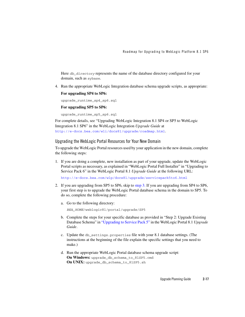Here db\_directory represents the name of the database directory configured for your domain, such as sybase.

4. Run the appropriate WebLogic Integration database schema upgrade scripts, as appropriate:

#### **For upgrading SP4 to SP6:**

upgrade\_runtime\_sp4\_sp6.sql

#### **For upgrading SP5 to SP6:**

upgrade\_runtime\_sp5\_sp6.sql

For complete details, see "Upgrading WebLogic Integration 8.1 SP4 or SP5 to WebLogic Integration 8.1 SP6" in the WebLogic Integration *Upgrade Guide* at [http://e-docs.bea.com/wli/docs81/upgrade/roadmap.html](../../../wli/docs81/upgrade/roadmap.html).

#### Upgrading the WebLogic Portal Resources for Your New Domain

To upgrade the WebLogic Portal resources used by your application in the new domain, complete the following steps:

1. If you are doing a complete, new installation as part of your upgrade, update the WebLogic Portal scripts as necessary, as explained in "WebLogic Portal Full Installer" in "Upgrading to Service Pack 6" in the WebLogic Portal 8.1 *Upgrade Guide* at the following URL:

[http://e-docs.bea.com/wlp/docs81/upgrade/servicepack5to6.html](../../../wlp/docs81/upgrade/servicepack4to5.html)

- 2. If you are upgrading from SP5 to SP6, skip to [step 3.](#page-39-0) If you are upgrading from SP4 to SP6, your first step is to upgrade the WebLogic Portal database schema in the domain to SP5. To do so, complete the following procedure:
	- a. Go to the following directory:

BEA\_HOME/weblogic81/portal/upgrade/SP5

- b. Complete the steps for your specific database as provided in "Step 2: Upgrade Existing Database Schema" in ["Upgrading to Service Pack 5"](../../../wlp/docs81/upgrade/servicepack3to4.html) in the WebLogic Portal 8.1 *Upgrade Guide*.
- c. Update the db\_settings.properties file with your 8.1 database settings. (The instructions at the beginning of the file explain the specific settings that you need to make.)
- d. Run the appropriate WebLogic Portal database schema upgrade script: **On Windows:** upgrade\_db\_schema\_to\_81SP5.cmd **On UNIX:** upgrade\_db\_schema\_to\_81SP5.sh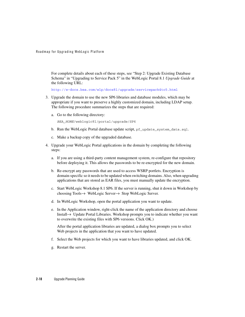For complete details about each of these steps, see "Step 2: Upgrade Existing Database Schema" in "Upgrading to Service Pack 5" in the WebLogic Portal 8.1 *Upgrade Guide* at the following URL:

[http://e-docs.bea.com/wlp/docs81/upgrade/servicepack4to5.html](../../../wlp/docs81/upgrade/servicepack4to5.html)

- 3. Upgrade the domain to use the new SP6 libraries and database modules, which may be appropriate if you want to preserve a highly customized domain, including LDAP setup. The following procedure summarizes the steps that are required:
	- a. Go to the following directory:

BEA HOME/weblogic81/portal/upgrade/SP6

- b. Run the WebLogic Portal database update script, pf\_update\_system\_data.sql.
- c. Make a backup copy of the upgraded database.
- 4. Upgrade your WebLogic Portal applications in the domain by completing the following steps:
	- a. If you are using a third-party content management system, re-configure that repository before deploying it. This allows the passwords to be re-encrypted for the new domain.
	- b. Re-encrypt any passwords that are used to access WSRP portlets. Encryption is domain-specific so it needs to be updated when switching domains. Also, when upgrading applications that are stored as EAR files, you must manually update the encryption.
	- c. Start WebLogic Workshop 8.1 SP6. If the server is running, shut it down in Workshop by choosing Tools→ WebLogic Server→ Stop WebLogic Server.
	- d. In WebLogic Workshop, open the portal application you want to update.
	- e. In the Application window, right-click the name of the application directory and choose Install→ Update Portal Libraries. Workshop prompts you to indicate whether you want to overwrite the existing files with SP6 versions. Click OK.)

After the portal application libraries are updated, a dialog box prompts you to select Web projects in the application that you want to have updated.

- f. Select the Web projects for which you want to have libraries updated, and click OK.
- g. Restart the server.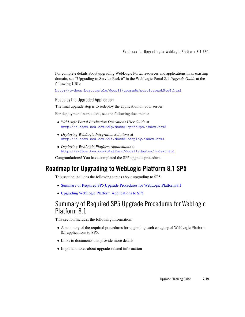For complete details about upgrading WebLogic Portal resources and applications in an existing domain, see "Upgrading to Service Pack 6" in the WebLogic Portal 8.1 *Upgrade Guide* at the following URL:

[http://e-docs.bea.com/wlp/docs81/upgrade/servicepack5to6.html](../../../wlp/docs81/upgrade/servicepack5to6.html)

#### Redeploy the Upgraded Application

The final upgrade step is to redeploy the application on your server.

For deployment instructions, see the following documents:

- *WebLogic Portal Production Operations User Guide* at [http://e-docs.bea.com/wlp/docs81/prodOps/index.html](../../../wlp/docs81/prodOps/index.html)
- <sup>z</sup> *Deploying WebLogic Integration Solutions* at [http://e-docs.bea.com/wli/docs81/deploy/index.html](../../../wli/docs81/deploy/index.html)
- <sup>z</sup> *Deploying WebLogic Platform Applications* at [http://e-docs.bea.com/platform/docs81/deploy/index.html](../deploy/index.html)

Congratulations! You have completed the SP6 upgrade procedure.

### <span id="page-28-0"></span>**Roadmap for Upgrading to WebLogic Platform 8.1 SP5**

This section includes the following topics about upgrading to SP5:

- [Summary of Required SP5 Upgrade Procedures for WebLogic Platform 8.1](#page-28-1)
- [Upgrading WebLogic Platform Applications to SP5](#page-29-0)

### <span id="page-28-1"></span>Summary of Required SP5 Upgrade Procedures for WebLogic Platform 8.1

This section includes the following information:

- A summary of the required procedures for upgrading each category of WebLogic Platform 8.1 applications to SP5.
- Links to documents that provide more details
- Important notes about upgrade-related information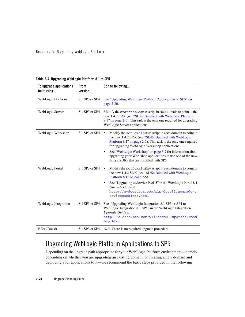| To upgrade applications<br>built using | <b>From</b><br>version | Do the following                                                                                                                                                                                                                         |
|----------------------------------------|------------------------|------------------------------------------------------------------------------------------------------------------------------------------------------------------------------------------------------------------------------------------|
| WebLogic Platform                      | 8.1 SP3 or SP4         | See "Upgrading WebLogic Platform Applications to SP5" on<br>page 2-20.                                                                                                                                                                   |
| WebLogic Server                        | 8.1 SP3 or SP4         | Modify the startWebLogic script in each domain to point to the<br>new 1.4.2 SDK (see "SDKs Bundled with WebLogic Platform<br>8.1" on page 2-5). This task is the only one required for upgrading<br>WebLogic Server applications.        |
| WebLogic Workshop                      | 8.1 SP3 or SP4         | Modify the setDomainEnv script in each domain to point to<br>the new 1.4.2 SDK (see "SDKs Bundled with WebLogic<br>Platform $8.1$ " on page $2-5$ ). This task is the only one required<br>for upgrading WebLogic Workshop applications. |
|                                        |                        | See "WebLogic Workshop" on page 3-7 for information about<br>$\bullet$<br>upgrading your Workshop applications to use one of the new<br>Java 2 SDKs that are installed with SP5.                                                         |
| WebLogic Portal                        | 8.1 SP3 or SP4         | Modify the setDomainEnv script in each domain to point to<br>the new 1.4.2 SDK (see "SDKs Bundled with WebLogic<br>Platform $8.1$ " on page $2-5$ ).                                                                                     |
|                                        |                        | See "Upgrading to Service Pack 5" in the WebLogic Portal 8.1<br>Upgrade Guide at<br>http://e-docs.bea.com/wlp/docs81/upgrade/s<br>ervicepack4to5.html                                                                                    |
| WebLogic Integration                   | 8.1 SP3 or SP4         | See "Upgrading WebLogic Integration 8.1 SP3 or SP4 to<br>WebLogic Integration 8.1 SP5" in the WebLogic Integration<br>Upgrade Guide at<br>http://e-docs.bea.com/wli/docs81/upgrade/road<br>map.html                                      |
| <b>BEA JRockit</b>                     | 8.1 SP3 or SP4         | N/A. There is no required upgrade procedure.                                                                                                                                                                                             |

#### **Table 2-4 Upgrading WebLogic Platform 8.1 to SP5**

## <span id="page-29-0"></span>Upgrading WebLogic Platform Applications to SP5

Depending on the upgrade path appropriate for your WebLogic Platform environment—namely, depending on whether you are upgrading an existing domain, or creating a new domain and deploying your applications to it—we recommend the basic steps provided in the following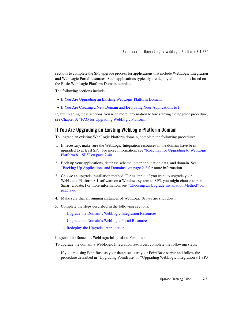sections to complete the SP5 upgrade process for applications that include WebLogic Integration and WebLogic Portal resources. Such applications typically are deployed in domains based on the Basic WebLogic Platform Domain template.

The following sections include:

- [If You Are Upgrading an Existing WebLogic Platform Domain](#page-30-0)
- [If You Are Creating a New Domain and Deploying Your Applications to It](#page-37-0)

If, after reading these sections, you need more information before starting the upgrade procedure, see [Chapter 3, "FAQ for Upgrading WebLogic Platform."](#page-62-3)

#### <span id="page-30-0"></span>**If You Are Upgrading an Existing WebLogic Platform Domain**

To upgrade an existing WebLogic Platform domain, complete the following procedure:

- 1. If necessary, make sure the WebLogic Integration resources in the domain have been upgraded to at least SP3. For more information, see ["Roadmap for Upgrading to WebLogic](#page-49-0)  [Platform 8.1 SP3" on page 2-40](#page-49-0).
- 2. Back up your applications, database schema, other application data, and domain. See ["Backing Up Applications and Domains" on page 2-2](#page-11-0) for more information.
- 3. Choose an upgrade installation method. For example, if you want to upgrade your WebLogic Platform 8.1 software on a Windows system to SP5, you might choose to run Smart Update. For more information, see ["Choosing an Upgrade Installation Method" on](#page-12-0)  [page 2-3](#page-12-0).
- 4. Make sure that all running instances of WebLogic Server are shut down.
- 5. Complete the steps described in the following sections:
	- [Upgrade the Domain's WebLogic Integration Resources](#page-30-1)
	- [Upgrade the Domain's WebLogic Portal Resources](#page-35-0)
	- [Redeploy the Upgraded Application](#page-36-0)

#### <span id="page-30-1"></span>Upgrade the Domain's WebLogic Integration Resources

To upgrade the domain's WebLogic Integration resources, complete the following steps:

1. If you are using PointBase as your database, start your PointBase server and follow the procedure described in "Upgrading PointBase" in "Upgrading WebLogic Integration 8.1 SP3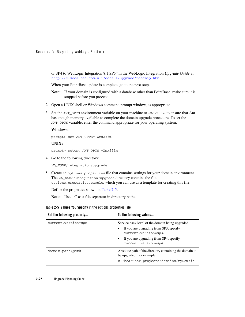Roadmap for Upgrading WebLogic Platform

or SP4 to WebLogic Integration 8.1 SP5" in the WebLogic Integration *Upgrade Guide* at [http://e-docs.bea.com/wli/docs81/upgrade/roadmap.html](../../../wli/docs81/upgrade/roadmap.html)

When your PointBase update is complete, go to the next step.

- Note: If your domain is configured with a database other than PointBase, make sure it is stopped before you proceed.
- 2. Open a UNIX shell or Windows command prompt window, as appropriate.
- 3. Set the ANT  $\circ$ PTS environment variable on your machine to  $-xmx256m$ , to ensure that Ant has enough memory available to complete the domain upgrade procedure. To set the ANT\_OPTS variable, enter the command appropriate for your operating system:

#### **Windows:**

prompt> set ANT\_OPTS=-Xmx256m

#### **UNIX:**

prompt> setenv ANT\_OPTS -Xmx256m

4. Go to the following directory:

WL\_HOME/integration/upgrade

<span id="page-31-1"></span>5. Create an options.properties file that contains settings for your domain environment. The WL\_HOME/integration/upgrade directory contains the file options.properties.sample, which you can use as a template for creating this file.

Define the properties shown in [Table 2-5.](#page-31-0)

Note: Use "/" as a file separator in directory paths.

| Set the following property | To the following values                                                                                                                                                                                |
|----------------------------|--------------------------------------------------------------------------------------------------------------------------------------------------------------------------------------------------------|
| current.version=spn        | Service pack level of the domain being upgraded:<br>If you are upgrading from SP3, specify<br>٠<br>current.version=sp3.<br>If you are upgrading from SP4, specify<br>$\bullet$<br>current.version=sp4. |
| domain.path=path           | Absolute path of the directory containing the domain to<br>be upgraded. For example:<br>c:/bea/user_projects/domains/myDomain                                                                          |

<span id="page-31-0"></span>**Table 2-5 Values You Specify in the options.properties File**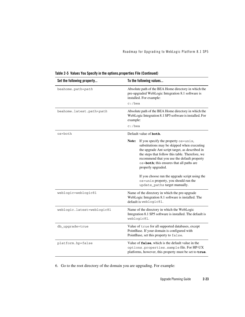| Set the following property | To the following values                                                                                                                                                                                                                                                                                            |
|----------------------------|--------------------------------------------------------------------------------------------------------------------------------------------------------------------------------------------------------------------------------------------------------------------------------------------------------------------|
| beahome.path=path          | Absolute path of the BEA Home directory in which the<br>pre-upgraded WebLogic Integration 8.1 software is<br>installed. For example:<br>$c$ :/bea                                                                                                                                                                  |
|                            |                                                                                                                                                                                                                                                                                                                    |
| beahome.latest.path=path   | Absolute path of the BEA Home directory in which the<br>WebLogic Integration 8.1 SP5 software is installed. For<br>example:                                                                                                                                                                                        |
|                            | $c$ :/bea                                                                                                                                                                                                                                                                                                          |
| os=both                    | Default value of <b>both</b> .                                                                                                                                                                                                                                                                                     |
|                            | Note:<br>If you specify the property os=unix,<br>substitutions may be skipped when executing<br>the upgrade Ant script target, as described in<br>the steps that follow this table. Therefore, we<br>recommend that you use the default property<br>os=both; this ensures that all paths are<br>properly upgraded. |
|                            | If you choose run the upgrade script using the<br>os=unix property, you should run the<br>update_paths target manually.                                                                                                                                                                                            |
| weblogic=weblogic81        | Name of the directory in which the pre-upgrade<br>WebLogic Integration 8.1 software is installed. The<br>default is weblogic81.                                                                                                                                                                                    |
| weblogic.latest=weblogic81 | Name of the directory in which the WebLogic<br>Integration 8.1 SP5 software is installed. The default is<br>weblogic81.                                                                                                                                                                                            |
| db_upgrade=true            | Value of true for all supported databases, except<br>PointBase. If your domain is configured with<br>PointBase, set this property to false.                                                                                                                                                                        |
| platform.hp=false          | Value of <b>false</b> , which is the default value in the<br>options.properties.samplefile.For HP-UX<br>platforms, however, this property must be set to true.                                                                                                                                                     |

**Table 2-5 Values You Specify in the options.properties File (Continued)**

6. Go to the root directory of the domain you are upgrading. For example: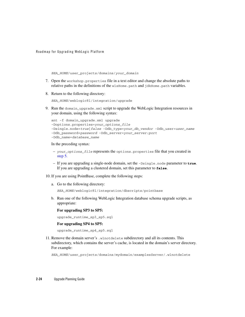BEA\_HOME/user\_projects/domains/your\_domain

- 7. Open the workshop.properties file in a text editor and change the absolute paths to relative paths in the definitions of the wlsHome.path and jdkHome.path variables.
- 8. Return to the following directory:

BEA\_HOME/weblogic81/integration/upgrade

9. Run the domain upgrade.xml script to upgrade the WebLogic Integration resources in your domain, using the following syntax:

```
ant -f domain_upgrade.xml upgrade 
-Doptions.properties=your_options_file
-Dsingle.node=true|false -Ddb type=your db vendor -Ddb user=user name
-Ddb_password=password -Ddb_server=your_server:port
-Ddb_name=database_name
```
In the preceding syntax:

- your\_options\_file represents the options.properties file that you created in [step 5.](#page-31-1)
- If you are upgrading a single-node domain, set the -Dsingle.node parameter to **true**. If you are upgrading a clustered domain, set this parameter to **false**.

10. If you are using PointBase, complete the following steps:

a. Go to the following directory:

BEA\_HOME/weblogic81/integration/dbscripts/pointbase

b. Run one of the following WebLogic Integration database schema upgrade scripts, as appropriate:

#### **For upgrading SP3 to SP5:**

upgrade\_runtime\_sp3\_sp5.sql

#### **For upgrading SP4 to SP5:**

upgrade\_runtime\_sp4\_sp5.sql

11. Remove the domain server's .wlnotdelete subdirectory and all its contents. This subdirectory, which contains the server's cache, is located in the domain's server directory. For example:

BEA\_HOME/user\_projects/domains/mydomain/examplesServer/.wlnotdelete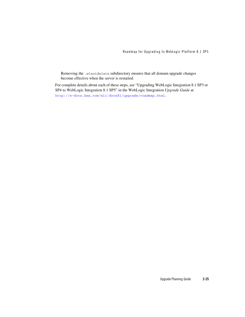Removing the .wlnotdelete subdirectory ensures that all domain upgrade changes become effective when the server is restarted.

For complete details about each of these steps, see "Upgrading WebLogic Integration 8.1 SP3 or SP4 to WebLogic Integration 8.1 SP5" in the WebLogic Integration *Upgrade Guide* at [http://e-docs.bea.com/wli/docs81/upgrade/roadmap.html](../../../wli/docs81/upgrade/roadmap.html).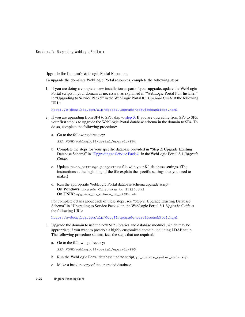#### <span id="page-35-0"></span>Upgrade the Domain's WebLogic Portal Resources

To upgrade the domain's WebLogic Portal resources, complete the following steps:

1. If you are doing a complete, new installation as part of your upgrade, update the WebLogic Portal scripts in your domain as necessary, as explained in "WebLogic Portal Full Installer" in "Upgrading to Service Pack 5" in the WebLogic Portal 8.1 *Upgrade Guide* at the following URL:

[http://e-docs.bea.com/wlp/docs81/upgrade/servicepack4to5.html](../../../wlp/docs81/upgrade/servicepack4to5.html)

- 2. If you are upgrading from SP4 to SP5, skip to [step 3.](#page-35-1) If you are upgrading from SP3 to SP5, your first step is to upgrade the WebLogic Portal database schema in the domain to SP4. To do so, complete the following procedure:
	- a. Go to the following directory:

BEA\_HOME/weblogic81/portal/upgrade/SP4

- b. Complete the steps for your specific database provided in "Step 2: Upgrade Existing Database Schema" in ["Upgrading to Service Pack 4"](../../../wlp/docs81/upgrade/servicepack3to4.html) in the WebLogic Portal 8.1 *Upgrade Guide*.
- c. Update the db\_settings.properties file with your 8.1 database settings. (The instructions at the beginning of the file explain the specific settings that you need to make.)
- d. Run the appropriate WebLogic Portal database schema upgrade script: **On Windows:** upgrade\_db\_schema\_to\_81SP4.cmd **On UNIX:** upgrade\_db\_schema\_to\_81SP4.sh

For complete details about each of these steps, see "Step 2: Upgrade Existing Database Schema" in "Upgrading to Service Pack 4" in the WebLogic Portal 8.1 *Upgrade Guide* at the following URL:

[http://e-docs.bea.com/wlp/docs81/upgrade/servicepack3to4.html](../../../wlp/docs81/upgrade/servicepack3to4.html)

- <span id="page-35-1"></span>3. Upgrade the domain to use the new SP5 libraries and database modules, which may be appropriate if you want to preserve a highly customized domain, including LDAP setup. The following procedure summarizes the steps that are required:
	- a. Go to the following directory:

BEA\_HOME/weblogic81/portal/upgrade/SP5

- b. Run the WebLogic Portal database update script,  $pf$  update system data.sql.
- c. Make a backup copy of the upgraded database.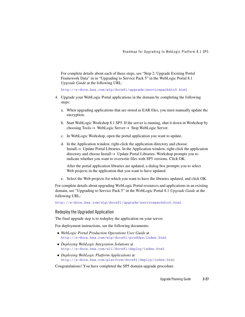For complete details about each of these steps, see "Step 2: Upgrade Existing Portal Framework Data" in in "Upgrading to Service Pack 5" in the WebLogic Portal 8.1 *Upgrade Guide* at the following URL:

[http://e-docs.bea.com/wlp/docs81/upgrade/servicepack4to5.html](../../../wlp/docs81/upgrade/servicepack4to5.html)

- 4. Upgrade your WebLogic Portal applications in the domain by completing the following steps:
	- a. When upgrading applications that are stored as EAR files, you must manually update the encryption.
	- b. Start WebLogic Workshop 8.1 SP5. If the server is running, shut it down in Workshop by choosing Tools→ WebLogic Server→ Stop WebLogic Server.
	- c. In WebLogic Workshop, open the portal application you want to update.
	- d. In the Application window, right-click the application directory and choose Install→ Update Portal Libraries. In the Application window, right-click the application directory and choose Install→ Update Portal Libraries. Workshop prompts you to indicate whether you want to overwrite files with SP5 versions. Click OK.

After the portal application libraries are updated, a dialog box prompts you to select Web projects in the application that you want to have updated.

e. Select the Web projects for which you want to have the libraries updated, and click OK.

For complete details about upgrading WebLogic Portal resources and applications in an existing domain, see "Upgrading to Service Pack 5" in the WebLogic Portal 8.1 *Upgrade Guide* at the following URL:

[http://e-docs.bea.com/wlp/docs81/upgrade/servicepack4to5.html](../../../wlp/docs81/upgrade/servicepack4to5.html)

### Redeploy the Upgraded Application

The final upgrade step is to redeploy the application on your server.

For deployment instructions, see the following documents:

- *WebLogic Portal Production Operations User Guide* at [http://e-docs.bea.com/wlp/docs81/prodOps/index.html](../../../wlp/docs81/prodOps/index.html)
- <sup>z</sup> *Deploying WebLogic Integration Solutions* at [http://e-docs.bea.com/wli/docs81/deploy/index.html](../../../wli/docs81/deploy/index.html)
- <sup>z</sup> *Deploying WebLogic Platform Applications* at [http://e-docs.bea.com/platform/docs81/deploy/index.html](../deploy/index.html)

Congratulations! You have completed the SP5 domain upgrade procedure.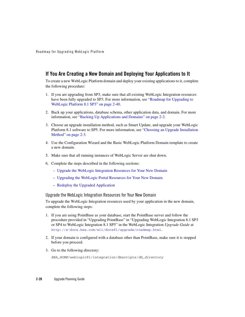### **If You Are Creating a New Domain and Deploying Your Applications to It**

To create a new WebLogic Platform domain and deploy your existing applications to it, complete the following procedure:

- 1. If you are upgrading from SP3, make sure that all existing WebLogic Integration resources have been fully upgraded to SP3. For more information, see ["Roadmap for Upgrading to](#page-49-0)  [WebLogic Platform 8.1 SP3" on page 2-40](#page-49-0).
- 2. Back up your applications, database schema, other application data, and domain. For more information, see ["Backing Up Applications and Domains" on page 2-2](#page-11-0).
- 3. Choose an upgrade installation method, such as Smart Update, and upgrade your WebLogic Platform 8.1 software to SP5. For more information, see ["Choosing an Upgrade Installation](#page-12-0)  [Method" on page 2-3.](#page-12-0)
- 4. Use the Configuration Wizard and the Basic WebLogic Platform Domain template to create a new domain.
- 5. Make sure that all running instances of WebLogic Server are shut down.
- 6. Complete the steps described in the following sections:
	- [Upgrade the WebLogic Integration Resources for Your New Domain](#page-37-0)
	- [Upgrading the WebLogic Portal Resources for Your New Domain](#page-38-0)
	- [Redeploy the Upgraded Application](#page-40-0)

### <span id="page-37-0"></span>Upgrade the WebLogic Integration Resources for Your New Domain

To upgrade the WebLogic Integration resources used by your application in the new domain, complete the following steps:

- 1. If you are using PointBase as your database, start the PointBase server and follow the procedure provided in "Upgrading PointBase" in "Upgrading WebLogic Integration 8.1 SP3 or SP4 to WebLogic Integration 8.1 SP5" in the WebLogic Integration *Upgrade Guide* at [http://e-docs.bea.com/wli/docs81/upgrade/roadmap.html](../../../wli/docs81/upgrade/roadmap.html).
- 2. If your domain is configured with a database other than PointBase, make sure it is stopped before you proceed.
- 3. Go to the following directory:

```
BEA_HOME/weblogic81/integration/dbscripts/db_directory
```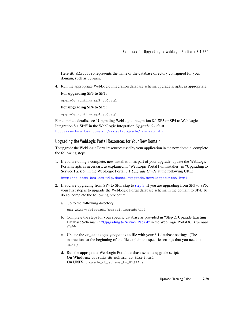Here db\_directory represents the name of the database directory configured for your domain, such as sybase.

4. Run the appropriate WebLogic Integration database schema upgrade scripts, as appropriate:

#### **For upgrading SP3 to SP5:**

upgrade\_runtime\_sp3\_sp5.sql

#### **For upgrading SP4 to SP5:**

upgrade\_runtime\_sp4\_sp5.sql

For complete details, see "Upgrading WebLogic Integration 8.1 SP3 or SP4 to WebLogic Integration 8.1 SP5" in the WebLogic Integration *Upgrade Guide* at [http://e-docs.bea.com/wli/docs81/upgrade/roadmap.html](../../../wli/docs81/upgrade/roadmap.html).

### <span id="page-38-0"></span>Upgrading the WebLogic Portal Resources for Your New Domain

To upgrade the WebLogic Portal resources used by your application in the new domain, complete the following steps:

1. If you are doing a complete, new installation as part of your upgrade, update the WebLogic Portal scripts as necessary, as explained in "WebLogic Portal Full Installer" in "Upgrading to Service Pack 5" in the WebLogic Portal 8.1 *Upgrade Guide* at the following URL:

[http://e-docs.bea.com/wlp/docs81/upgrade/servicepack4to5.html](../../../wlp/docs81/upgrade/servicepack4to5.html)

- 2. If you are upgrading from SP4 to SP5, skip to [step 3.](#page-39-0) If you are upgrading from SP3 to SP5, your first step is to upgrade the WebLogic Portal database schema in the domain to SP4. To do so, complete the following procedure:
	- a. Go to the following directory:

BEA\_HOME/weblogic81/portal/upgrade/SP4

- b. Complete the steps for your specific database as provided in "Step 2: Upgrade Existing Database Schema" in ["Upgrading to Service Pack 4"](../../../wlp/docs81/upgrade/servicepack3to4.html) in the WebLogic Portal 8.1 *Upgrade Guide*.
- c. Update the db\_settings.properties file with your 8.1 database settings. (The instructions at the beginning of the file explain the specific settings that you need to make.)
- d. Run the appropriate WebLogic Portal database schema upgrade script: **On Windows:** upgrade\_db\_schema\_to\_81SP4.cmd **On UNIX:** upgrade\_db\_schema\_to\_81SP4.sh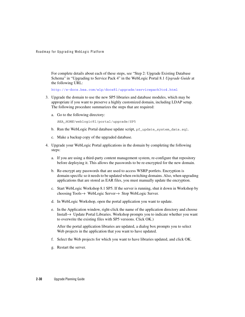For complete details about each of these steps, see "Step 2: Upgrade Existing Database Schema" in "Upgrading to Service Pack 4" in the WebLogic Portal 8.1 *Upgrade Guide* at the following URL:

[http://e-docs.bea.com/wlp/docs81/upgrade/servicepack3to4.html](../../../wlp/docs81/upgrade/servicepack3to4.html)

- <span id="page-39-0"></span>3. Upgrade the domain to use the new SP5 libraries and database modules, which may be appropriate if you want to preserve a highly customized domain, including LDAP setup. The following procedure summarizes the steps that are required:
	- a. Go to the following directory:

BEA HOME/weblogic81/portal/upgrade/SP5

- b. Run the WebLogic Portal database update script, pf\_update\_system\_data.sql.
- c. Make a backup copy of the upgraded database.
- 4. Upgrade your WebLogic Portal applications in the domain by completing the following steps:
	- a. If you are using a third-party content management system, re-configure that repository before deploying it. This allows the passwords to be re-encrypted for the new domain.
	- b. Re-encrypt any passwords that are used to access WSRP portlets. Encryption is domain-specific so it needs to be updated when switching domains. Also, when upgrading applications that are stored as EAR files, you must manually update the encryption.
	- c. Start WebLogic Workshop 8.1 SP5. If the server is running, shut it down in Workshop by choosing Tools→ WebLogic Server→ Stop WebLogic Server.
	- d. In WebLogic Workshop, open the portal application you want to update.
	- e. In the Application window, right-click the name of the application directory and choose Install→ Update Portal Libraries. Workshop prompts you to indicate whether you want to overwrite the existing files with SP5 versions. Click OK.)

After the portal application libraries are updated, a dialog box prompts you to select Web projects in the application that you want to have updated.

- f. Select the Web projects for which you want to have libraries updated, and click OK.
- g. Restart the server.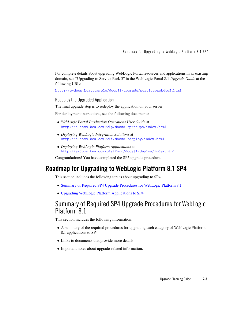For complete details about upgrading WebLogic Portal resources and applications in an existing domain, see "Upgrading to Service Pack 5" in the WebLogic Portal 8.1 *Upgrade Guide* at the following URL:

[http://e-docs.bea.com/wlp/docs81/upgrade/servicepack4to5.html](../../../wlp/docs81/upgrade/servicepack4to5.html)

### <span id="page-40-0"></span>Redeploy the Upgraded Application

The final upgrade step is to redeploy the application on your server.

For deployment instructions, see the following documents:

- *WebLogic Portal Production Operations User Guide* at [http://e-docs.bea.com/wlp/docs81/prodOps/index.html](../../../wlp/docs81/prodOps/index.html)
- <sup>z</sup> *Deploying WebLogic Integration Solutions* at [http://e-docs.bea.com/wli/docs81/deploy/index.html](../../../wli/docs81/deploy/index.html)
- <sup>z</sup> *Deploying WebLogic Platform Applications* at [http://e-docs.bea.com/platform/docs81/deploy/index.html](../deploy/index.html)

Congratulations! You have completed the SP5 upgrade procedure.

### <span id="page-40-2"></span>**Roadmap for Upgrading to WebLogic Platform 8.1 SP4**

This section includes the following topics about upgrading to SP4:

- [Summary of Required SP4 Upgrade Procedures for WebLogic Platform 8.1](#page-40-1)
- [Upgrading WebLogic Platform Applications to SP4](#page-42-0)

### <span id="page-40-1"></span>Summary of Required SP4 Upgrade Procedures for WebLogic Platform 8.1

This section includes the following information:

- A summary of the required procedures for upgrading each category of WebLogic Platform 8.1 applications to SP4
- Links to documents that provide more details
- Important notes about upgrade-related information.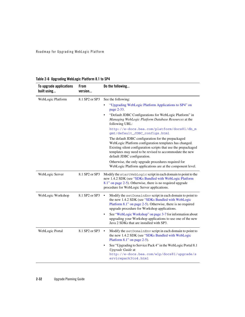| To upgrade applications<br>built using | <b>From</b><br>version | Do the following                                                                                                                                                                                                                                                         |
|----------------------------------------|------------------------|--------------------------------------------------------------------------------------------------------------------------------------------------------------------------------------------------------------------------------------------------------------------------|
| WebLogic Platform                      | 8.1 SP2 or SP3         | See the following:                                                                                                                                                                                                                                                       |
|                                        |                        | "Upgrading WebLogic Platform Applications to SP4" on<br>page 2-33.                                                                                                                                                                                                       |
|                                        |                        | "Default JDBC Configurations for WebLogic Platform" in<br>$\bullet$<br>Managing WebLogic Platform Database Resources at the<br>following URL:                                                                                                                            |
|                                        |                        | http://e-docs.bea.com/platform/docs81/db_m<br>gmt/default_JDBC_configs.html                                                                                                                                                                                              |
|                                        |                        | The default JDBC configuration for the prepackaged<br>WebLogic Platform configuration templates has changed.<br>Existing silent configuration scripts that use the prepackaged<br>templates may need to be revised to accommodate the new<br>default JDBC configuration. |
|                                        |                        | Otherwise, the only upgrade procedures required for<br>WebLogic Platform applications are at the component level.                                                                                                                                                        |
| WebLogic Server                        | 8.1 SP2 or SP3         | Modify the startWebLogic script in each domain to point to the<br>new 1.4.2 SDK (see "SDKs Bundled with WebLogic Platform<br>8.1" on page 2-5). Otherwise, there is no required upgrade<br>procedure for WebLogic Server applications.                                   |
| WebLogic Workshop                      | 8.1 SP2 or SP3         | Modify the setDomainEnv script in each domain to point to<br>$\bullet$<br>the new 1.4.2 SDK (see "SDKs Bundled with WebLogic<br>Platform 8.1" on page 2-5). Otherwise, there is no required<br>upgrade procedure for Workshop applications.                              |
|                                        |                        | See "WebLogic Workshop" on page 3-7 for information about<br>$\bullet$<br>upgrading your Workshop applications to use one of the new<br>Java 2 SDKs that are installed with SP3.                                                                                         |
| WebLogic Portal                        | 8.1 SP2 or SP3         | Modify the setDomainEnv script in each domain to point to<br>$\bullet$<br>the new 1.4.2 SDK (see "SDKs Bundled with WebLogic<br>Platform $8.1$ " on page $2-5$ ).                                                                                                        |
|                                        |                        | See "Upgrading to Service Pack 4" in the WebLogic Portal 8.1<br>$\bullet$<br>Upgrade Guide at<br>http://e-docs.bea.com/wlp/docs81/upgrade/s<br>ervicepack3to4.html                                                                                                       |

### **Table 2-6 Upgrading WebLogic Platform 8.1 to SP4**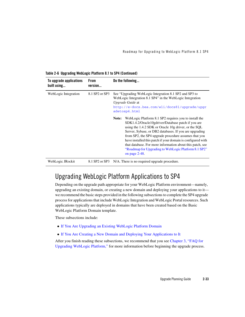| To upgrade applications<br>built using | <b>From</b><br>version |       | Do the following                                                                                                                                                                                                                                                                                                                                                                                                                                                                                                                                                                                                                                                                                           |
|----------------------------------------|------------------------|-------|------------------------------------------------------------------------------------------------------------------------------------------------------------------------------------------------------------------------------------------------------------------------------------------------------------------------------------------------------------------------------------------------------------------------------------------------------------------------------------------------------------------------------------------------------------------------------------------------------------------------------------------------------------------------------------------------------------|
| WebLogic Integration                   | 8.1 SP2 or SP3         | Note: | See "Upgrading WebLogic Integration 8.1 SP2 and SP3 to<br>WebLogic Integration 8.1 SP4" in the WebLogic Integration<br>Upgrade Guide at<br>http://e-docs.bea.com/wli/docs81/upgrade/upgr<br>adetosp4.html<br>WebLogic Platform 8.1 SP2 requires you to install the<br>SDK1.4.2/Oracle10gdriver/Database patch if you are<br>using the 1.4.2 SDK or Oracle 10g driver, or the SQL<br>Server, Sybase, or DB2 databases. If you are upgrading<br>from SP2, the SP4 upgrade procedure assumes that you<br>have installed this patch if your domain is configured with<br>that database. For more information about this patch, see<br>"Roadmap for Upgrading to WebLogic Platform 8.1 SP2"<br>on page $2-48$ . |
|                                        |                        |       |                                                                                                                                                                                                                                                                                                                                                                                                                                                                                                                                                                                                                                                                                                            |

**Table 2-6 Upgrading WebLogic Platform 8.1 to SP4 (Continued)**

### <span id="page-42-0"></span>Upgrading WebLogic Platform Applications to SP4

WebLogic JRockit 8.1 SP2 or SP3 N/A. There is no required upgrade procedure.

Depending on the upgrade path appropriate for your WebLogic Platform environment—namely, upgrading an existing domain, or creating a new domain and deploying your applications to it we recommend the basic steps provided in the following subsections to complete the SP4 upgrade process for applications that include WebLogic Integration and WebLogic Portal resources. Such applications typically are deployed in domains that have been created based on the Basic WebLogic Platform Domain template.

These subsections include:

- [If You Are Upgrading an Existing WebLogic Platform Domain](#page-43-0)
- [If You Are Creating a New Domain and Deploying Your Applications to It](#page-46-0)

After you finish reading these subsections, we recommend that you see [Chapter 3, "FAQ for](#page-62-0)  [Upgrading WebLogic Platform,"](#page-62-0) for more information before beginning the upgrade process.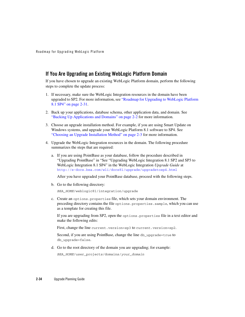### <span id="page-43-0"></span>**If You Are Upgrading an Existing WebLogic Platform Domain**

If you have chosen to upgrade an existing WebLogic Platform domain, perform the following steps to complete the update process:

- 1. If necessary, make sure the WebLogic Integration resources in the domain have been upgraded to SP2. For more information, see ["Roadmap for Upgrading to WebLogic Platform](#page-40-2)  [8.1 SP4" on page 2-31.](#page-40-2)
- 2. Back up your applications, database schema, other application data, and domain. See ["Backing Up Applications and Domains" on page 2-2](#page-11-0) for more information.
- 3. Choose an upgrade installation method. For example, if you are using Smart Update on Windows systems, and upgrade your WebLogic Platform 8.1 software to SP4. See ["Choosing an Upgrade Installation Method" on page 2-3](#page-12-0) for more information.
- 4. Upgrade the WebLogic Integration resources in the domain. The following procedure summarizes the steps that are required:
	- a. If you are using PointBase as your database, follow the procedure described in "Upgrading PointBase" in "See "Upgrading WebLogic Integration 8.1 SP2 and SP3 to WebLogic Integration 8.1 SP4" in the WebLogic Integration *Upgrade Guide* at [http://e-docs.bea.com/wli/docs81/upgrade/upgradetosp4.html](../../../wli/docs81/upgrade/upgradetosp4.html)

After you have upgraded your PointBase database, proceed with the following steps.

b. Go to the following directory:

BEA HOME/weblogic81/integration/upgrade

c. Create an options.properties file, which sets your domain environment. The preceding directory contains the file options.properties.sample, which you can use as a template for creating this file.

If you are upgrading from SP2, open the options.properties file in a text editor and make the following edits:

First, change the line current.version=sp3 to current.version=sp2.

Second, if you are using PointBase, change the line db\_upgrade=true to db\_upgrade=false.

d. Go to the root directory of the domain you are upgrading; for example:

BEA\_HOME/user\_projects/domains/your\_domain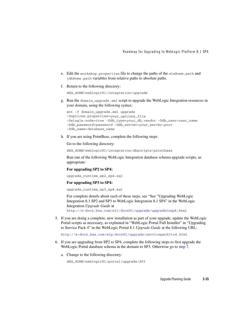- e. Edit the workshop.properties file to change the paths of the wlsHome.path and jdkHome.path variables from relative paths to absolute paths.
- f. Return to the following directory:

BEA\_HOME/weblogic81/integration/upgrade

g. Run the domain\_upgrade.xml script to upgrade the WebLogic Integration resources in your domain, using the following syntax:

```
ant -f domain_upgrade.xml upgrade 
-Doptions.properties=your_options_file
-Dsingle.node=true -Ddb_type=your_db_vendor -Ddb_user=user_name
-Ddb_password=password -Ddb_server=your_server:port
-Ddb_name=database_name
```
h. If you are using PointBase, complete the following steps:

Go to the following directory:

BEA\_HOME/weblogic81/integration/dbscripts/pointbase

Run one of the following WebLogic Integration database schema upgrade scripts, as appropriate:

#### **For upgrading SP2 to SP4:**

upgrade\_runtime\_sp2\_sp4.sql

#### **For upgrading SP3 to SP4:**

upgrade\_runtime\_sp3\_sp4.sql

For complete details about each of these steps, see "See "Upgrading WebLogic Integration 8.1 SP2 and SP3 to WebLogic Integration 8.1 SP4" in the WebLogic Integration *Upgrade Guide* at

[http://e-docs.bea.com/wli/docs81/upgrade/upgradetosp4.html](../../../wli/docs81/upgrade/upgradetosp4.html)

5. If you are doing a complete, new installation as part of your upgrade, update the WebLogic Portal scripts as necessary, as explained in "WebLogic Portal Full Installer" in "Upgrading to Service Pack 4" in the WebLogic Portal 8.1 *Upgrade Guide* at the following URL:

[http://e-docs.bea.com/wlp/docs81/upgrade/servicepack3to4.html](../../../wlp/docs81/upgrade/servicepack3to4.html)

- 6. If you are upgrading from SP2 to SP4, complete the following steps to first upgrade the WebLogic Portal database schema in the domain to SP3. Otherwise go to [step 7.](#page-45-0) 
	- a. Change to the following directory:

BEA\_HOME/weblogic81/portal/upgrade/SP3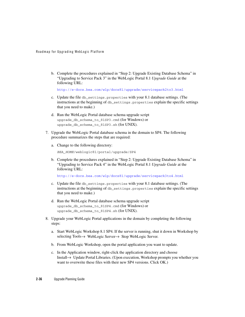#### Roadmap for Upgrading WebLogic Platform

b. Complete the procedures explained in "Step 2: Upgrade Existing Database Schema" in "Upgrading to Service Pack 3" in the WebLogic Portal 8.1 *Upgrade Guide* at the following URL:

[http://e-docs.bea.com/wlp/docs81/upgrade/servicepack2to3.html](../../../wlp/docs81/upgrade/servicepack2to3.html)

- c. Update the file db\_settings.properties with your 8.1 database settings. (The instructions at the beginning of db settings. properties explain the specific settings that you need to make.)
- d. Run the WebLogic Portal database schema upgrade script upgrade\_db\_schema\_to\_81SP3.cmd (for Windows) or upgrade\_db\_schema\_to\_81SP3.sh (for UNIX).
- <span id="page-45-0"></span>7. Upgrade the WebLogic Portal database schema in the domain to SP4. The following procedure summarizes the steps that are required:
	- a. Change to the following directory:

BEA\_HOME/weblogic81/portal/upgrade/SP4

b. Complete the procedures explained in "Step 2: Upgrade Existing Database Schema" in "Upgrading to Service Pack 4" in the WebLogic Portal 8.1 *Upgrade Guide* at the following URL:

[http://e-docs.bea.com/wlp/docs81/upgrade/servicepack3to4.html](../../../wlp/docs81/upgrade/servicepack3to4.html)

- c. Update the file db\_settings.properties with your 8.1 database settings. (The instructions at the beginning of db\_settings.properties explain the specific settings that you need to make.)
- d. Run the WebLogic Portal database schema upgrade script upgrade\_db\_schema\_to\_81SP4.cmd (for Windows) or upgrade\_db\_schema\_to\_81SP4.sh (for UNIX).
- 8. Upgrade your WebLogic Portal applications in the domain by completing the following steps:
	- a. Start WebLogic Workshop 8.1 SP4. If the server is running, shut it down in Workshop by selecting Tools→ WebLogic Server→ Stop WebLogic Server.
	- b. From WebLogic Workshop, open the portal application you want to update.
	- c. In the Application window, right-click the application directory and choose Install→ Update Portal Libraries. (Upon execution, Workshop prompts you whether you want to overwrite these files with their new SP4 versions. Click OK.)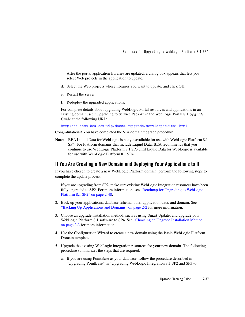After the portal application libraries are updated, a dialog box appears that lets you select Web projects in the application to update.

- d. Select the Web projects whose libraries you want to update, and click OK.
- e. Restart the server.
- f. Redeploy the upgraded applications.

For complete details about upgrading WebLogic Portal resources and applications in an existing domain, see "Upgrading to Service Pack 4" in the WebLogic Portal 8.1 *Upgrade Guide* at the following URL:

[http://e-docs.bea.com/wlp/docs81/upgrade/servicepack3to4.html](../../../wlp/docs81/upgrade/servicepack3to4.html)

Congratulations! You have completed the SP4 domain upgrade procedure.

**Note:** BEA Liquid Data for WebLogic is not yet available for use with WebLogic Platform 8.1 SP4. For Platform domains that include Liquid Data, BEA recommends that you continue to use WebLogic Platform 8.1 SP3 until Liquid Data for WebLogic is available for use with WebLogic Platform 8.1 SP4.

### <span id="page-46-0"></span>**If You Are Creating a New Domain and Deploying Your Applications to It**

If you have chosen to create a new WebLogic Platform domain, perform the following steps to complete the update process:

- 1. If you are upgrading from SP2, make sure existing WebLogic Integration resources have been fully upgraded to SP2. For more information, see ["Roadmap for Upgrading to WebLogic](#page-57-0)  [Platform 8.1 SP2" on page 2-48](#page-57-0).
- 2. Back up your applications, database schema, other application data, and domain. See ["Backing Up Applications and Domains" on page 2-2](#page-11-0) for more information.
- 3. Choose an upgrade installation method, such as using Smart Update, and upgrade your WebLogic Platform 8.1 software to SP4. See ["Choosing an Upgrade Installation Method"](#page-12-0)  [on page 2-3](#page-12-0) for more information.
- 4. Use the Configuration Wizard to create a new domain using the Basic WebLogic Platform Domain template.
- 5. Upgrade the existing WebLogic Integration resources for your new domain. The following procedure summarizes the steps that are required:
	- a. If you are using PointBase as your database, follow the procedure described in "Upgrading PointBase" in "Upgrading WebLogic Integration 8.1 SP2 and SP3 to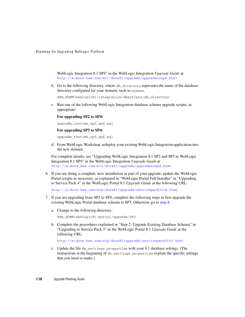WebLogic Integration 8.1 SP4" in the WebLogic Integration *Upgrade Guide* at [http://e-docs.bea.com/wli/docs81/upgrade/upgradetosp4.html](../../../wli/docs81/upgrade/upgradetosp4.html)

b. Go to the following directory, where  $db$  directory represents the name of the database directory configured for your domain, such as sybase.

BEA\_HOME/weblogic81/integration/dbscripts/db\_directory

c. Run one of the following WebLogic Integration database schema upgrade scripts, as appropriate:

#### **For upgrading SP2 to SP4:**

upgrade\_runtime\_sp2\_sp4.sql

#### **For upgrading SP3 to SP4:**

upgrade\_runtime\_sp3\_sp4.sql

d. From WebLogic Workshop, redeploy your existing WebLogic Integration application into the new domain.

For complete details, see "Upgrading WebLogic Integration 8.1 SP2 and SP3 to WebLogic Integration 8.1 SP4" in the WebLogic Integration *Upgrade Guide* at [http://e-docs.bea.com/wli/docs81/upgrade/upgradetosp4.html](../../../wli/docs81/upgrade/upgradetosp4.html)

6. If you are doing a complete, new installation as part of your upgrade, update the WebLogic Portal scripts as necessary, as explained in "WebLogic Portal Full Installer" in "Upgrading to Service Pack 4" in the WebLogic Portal 8.1 *Upgrade Guide* at the following URL:

[http://e-docs.bea.com/wlp/docs81/upgrade/servicepack3to4.html](../../../wlp/docs81/upgrade/servicepack3to4.html)

- 7. If you are upgrading from SP2 to SP4, complete the following steps to first upgrade the existing WebLogic Portal database schema to SP3. Otherwise go to [step 8.](#page-48-0) 
	- a. Change to the following directory:

BEA\_HOME/weblogic81/portal/upgrade/SP3

b. Complete the procedures explained in "Step 2: Upgrade Existing Database Schema" in "Upgrading to Service Pack 3" in the WebLogic Portal 8.1 *Upgrade Guide* at the following URL:

[http://e-docs.bea.com/wlp/docs81/upgrade/servicepack2to3.html](../../../wlp/docs81/upgrade/servicepack2to3.html)

c. Update the file db\_settings.properties with your 8.1 database settings. (The instructions at the beginning of db\_settings.properties explain the specific settings that you need to make.)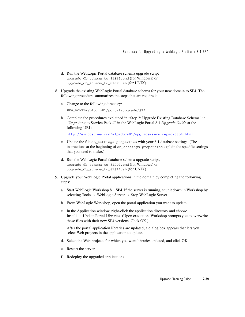- d. Run the WebLogic Portal database schema upgrade script upgrade\_db\_schema\_to\_81SP3.cmd (for Windows) or upgrade\_db\_schema\_to\_81SP3.sh (for UNIX).
- <span id="page-48-0"></span>8. Upgrade the existing WebLogic Portal database schema for your new domain to SP4. The following procedure summarizes the steps that are required:
	- a. Change to the following directory:

BEA\_HOME/weblogic81/portal/upgrade/SP4

b. Complete the procedures explained in "Step 2: Upgrade Existing Database Schema" in "Upgrading to Service Pack 4" in the WebLogic Portal 8.1 *Upgrade Guide* at the following URL:

[http://e-docs.bea.com/wlp/docs81/upgrade/servicepack3to4.html](../../../wlp/docs81/upgrade/servicepack3to4.html)

- c. Update the file db\_settings.properties with your 8.1 database settings. (The instructions at the beginning of db settings.properties explain the specific settings that you need to make.)
- d. Run the WebLogic Portal database schema upgrade script, upgrade\_db\_schema\_to\_81SP4.cmd (for Windows) or upgrade\_db\_schema\_to\_81SP4.sh (for UNIX).
- 9. Upgrade your WebLogic Portal applications in the domain by completing the following steps:
	- a. Start WebLogic Workshop 8.1 SP4. If the server is running, shut it down in Workshop by selecting Tools→ WebLogic Server→ Stop WebLogic Server.
	- b. From WebLogic Workshop, open the portal application you want to update.
	- c. In the Application window, right-click the application directory and choose Install→ Update Portal Libraries. (Upon execution, Workshop prompts you to overwrite these files with their new SP4 versions. Click OK.)

After the portal application libraries are updated, a dialog box appears that lets you select Web projects in the application to update.

- d. Select the Web projects for which you want libraries updated, and click OK.
- e. Restart the server.
- f. Redeploy the upgraded applications.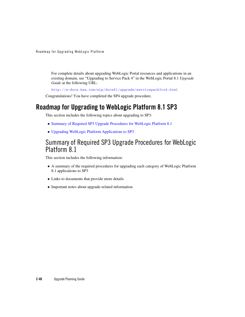For complete details about upgrading WebLogic Portal resources and applications in an existing domain, see "Upgrading to Service Pack 4" in the WebLogic Portal 8.1 *Upgrade Guide* at the following URL:

[http://e-docs.bea.com/wlp/docs81/upgrade/servicepack3to4.html](../../../wlp/docs81/upgrade/servicepack3to4.html)

Congratulations! You have completed the SP4 upgrade procedure.

### <span id="page-49-0"></span>**Roadmap for Upgrading to WebLogic Platform 8.1 SP3**

This section includes the following topics about upgrading to SP3:

- [Summary of Required SP3 Upgrade Procedures for WebLogic Platform 8.1](#page-49-1)
- [Upgrading WebLogic Platform Applications to SP3](#page-51-0)

### <span id="page-49-1"></span>Summary of Required SP3 Upgrade Procedures for WebLogic Platform 8.1

This section includes the following information:

- A summary of the required procedures for upgrading each category of WebLogic Platform 8.1 applications to SP3
- Links to documents that provide more details
- Important notes about upgrade-related information.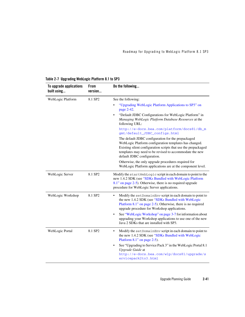| To upgrade applications<br>built using | From<br>version | Do the following                                                                                                                                                                                                                                                         |
|----------------------------------------|-----------------|--------------------------------------------------------------------------------------------------------------------------------------------------------------------------------------------------------------------------------------------------------------------------|
| WebLogic Platform                      | 8.1 SP2         | See the following:                                                                                                                                                                                                                                                       |
|                                        |                 | "Upgrading WebLogic Platform Applications to SP3" on<br>page 2-42.                                                                                                                                                                                                       |
|                                        |                 | "Default JDBC Configurations for WebLogic Platform" in<br>$\bullet$<br>Managing WebLogic Platform Database Resources at the<br>following URL:                                                                                                                            |
|                                        |                 | http://e-docs.bea.com/platform/docs81/db_m<br>gmt/default_JDBC_configs.html                                                                                                                                                                                              |
|                                        |                 | The default JDBC configuration for the prepackaged<br>WebLogic Platform configuration templates has changed.<br>Existing silent configuration scripts that use the prepackaged<br>templates may need to be revised to accommodate the new<br>default JDBC configuration. |
|                                        |                 | Otherwise, the only upgrade procedures required for<br>WebLogic Platform applications are at the component level.                                                                                                                                                        |
| WebLogic Server                        | 8.1 SP2         | Modify the startWebLogic script in each domain to point to the<br>new 1.4.2 SDK (see "SDKs Bundled with WebLogic Platform<br>8.1" on page 2-5). Otherwise, there is no required upgrade<br>procedure for WebLogic Server applications.                                   |
| WebLogic Workshop                      | 8.1 SP2         | Modify the setDomainEnv script in each domain to point to<br>$\bullet$<br>the new 1.4.2 SDK (see "SDKs Bundled with WebLogic<br>Platform 8.1" on page 2-5). Otherwise, there is no required<br>upgrade procedure for Workshop applications.                              |
|                                        |                 | See "WebLogic Workshop" on page 3-7 for information about<br>$\bullet$<br>upgrading your Workshop applications to use one of the new<br>Java 2 SDKs that are installed with SP3.                                                                                         |
| WebLogic Portal                        | 8.1 SP2         | Modify the setDomainEnv script in each domain to point to<br>٠<br>the new 1.4.2 SDK (see "SDKs Bundled with WebLogic<br>Platform 8.1" on page 2-5).                                                                                                                      |
|                                        |                 | See "Upgrading to Service Pack 3" in the WebLogic Portal 8.1<br>$\bullet$<br>Upgrade Guide at<br>http://e-docs.bea.com/wlp/docs81/upgrade/s<br>ervicepack2to3.html                                                                                                       |

**Table 2-7 Upgrading WebLogic Platform 8.1 to SP3**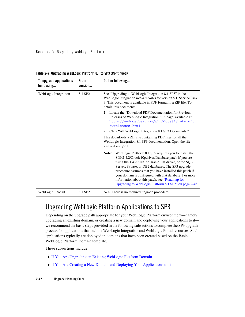| To upgrade applications<br>built using | <b>From</b><br>version | Do the following                                                                                                                                                                                                                                                                                                                                                                                                                                                  |  |
|----------------------------------------|------------------------|-------------------------------------------------------------------------------------------------------------------------------------------------------------------------------------------------------------------------------------------------------------------------------------------------------------------------------------------------------------------------------------------------------------------------------------------------------------------|--|
| WebLogic Integration                   | 8.1 SP2                | See "Upgrading to WebLogic Integration 8.1 SP3" in the<br>WebLogic Integration Release Notes for version 8.1, Service Pack<br>3. This document is available in PDF format in a ZIP file. To<br>obtain this document:                                                                                                                                                                                                                                              |  |
|                                        |                        | 1. Locate the "Download PDF Documentation for Previous<br>Releases of WebLogic Integration 8.1" page, available at<br>http://e-docs.bea.com/wli/docs81/interm/pr<br>evreleases.html.                                                                                                                                                                                                                                                                              |  |
|                                        |                        | 2. Click "All WebLogic Integration 8.1 SP3 Documents."                                                                                                                                                                                                                                                                                                                                                                                                            |  |
|                                        |                        | This downloads a ZIP file containing PDF files for all the<br>WebLogic Integration 8.1 SP3 documentation. Open the file<br>relnotes.pdf.                                                                                                                                                                                                                                                                                                                          |  |
|                                        |                        | WebLogic Platform 8.1 SP2 requires you to install the<br>Note:<br>SDK1.4.2/Oracle10gdriver/Database patch if you are<br>using the 1.4.2 SDK or Oracle 10g driver, or the SQL<br>Server, Sybase, or DB2 databases. The SP3 upgrade<br>procedure assumes that you have installed this patch if<br>your domain is configured with that database. For more<br>information about this patch, see "Roadmap for<br>Upgrading to WebLogic Platform 8.1 SP2" on page 2-48. |  |
| WebLogic JRockit                       | 8.1 SP <sub>2</sub>    | N/A. There is no required upgrade procedure.                                                                                                                                                                                                                                                                                                                                                                                                                      |  |

**Table 2-7 Upgrading WebLogic Platform 8.1 to SP3 (Continued)**

## <span id="page-51-0"></span>Upgrading WebLogic Platform Applications to SP3

Depending on the upgrade path appropriate for your WebLogic Platform environment—namely, upgrading an existing domain, or creating a new domain and deploying your applications to it we recommend the basic steps provided in the following subsections to complete the SP3 upgrade process for applications that include WebLogic Integration and WebLogic Portal resources. Such applications typically are deployed in domains that have been created based on the Basic WebLogic Platform Domain template.

These subsections include:

- [If You Are Upgrading an Existing WebLogic Platform Domain](#page-52-0)
- [If You Are Creating a New Domain and Deploying Your Applications to It](#page-54-0)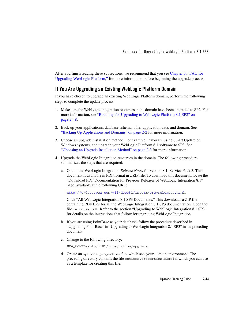After you finish reading these subsections, we recommend that you see [Chapter 3, "FAQ for](#page-62-0)  [Upgrading WebLogic Platform,"](#page-62-0) for more information before beginning the upgrade process.

### <span id="page-52-0"></span>**If You Are Upgrading an Existing WebLogic Platform Domain**

If you have chosen to upgrade an existing WebLogic Platform domain, perform the following steps to complete the update process:

- 1. Make sure the WebLogic Integration resources in the domain have been upgraded to SP2. For more information, see ["Roadmap for Upgrading to WebLogic Platform 8.1 SP2" on](#page-57-0)  [page 2-48](#page-57-0).
- 2. Back up your applications, database schema, other application data, and domain. See ["Backing Up Applications and Domains" on page 2-2](#page-11-0) for more information.
- 3. Choose an upgrade installation method. For example, if you are using Smart Update on Windows systems, and upgrade your WebLogic Platform 8.1 software to SP3. See ["Choosing an Upgrade Installation Method" on page 2-3](#page-12-0) for more information.
- 4. Upgrade the WebLogic Integration resources in the domain. The following procedure summarizes the steps that are required:
	- a. Obtain the WebLogic Integration *Release Notes* for version 8.1, Service Pack 3. This document is available in PDF format in a ZIP file. To download this document, locate the "Download PDF Documentation for Previous Releases of WebLogic Integration 8.1" page, available at the following URL:

<http://e-docs.bea.com/wli/docs81/interm/prevreleases.html>.

Click "All WebLogic Integration 8.1 SP3 Documents." This downloads a ZIP file containing PDF files for all the WebLogic Integration 8.1 SP3 documentation. Open the file relnotes.pdf. Refer to the section "Upgrading to WebLogic Integration 8.1 SP3" for details on the instructions that follow for upgrading WebLogic Integration.

- b. If you are using PointBase as your database, follow the procedure described in "Upgrading PointBase" in "Upgrading to WebLogic Integration 8.1 SP3" in the preceding document.
- c. Change to the following directory:

```
BEA_HOME/weblogic81/integration/upgrade
```
d. Create an options.properties file, which sets your domain environment. The preceding directory contains the file options.properties.sample, which you can use as a template for creating this file.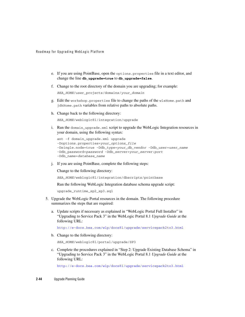#### Roadmap for Upgrading WebLogic Platform

- e. If you are using PointBase, open the options.properties file in a text editor, and change the line **db\_upgrade=true** to **db\_upgrade=false**.
- f. Change to the root directory of the domain you are upgrading; for example:

BEA\_HOME/user\_projects/domains/your\_domain

- g. Edit the workshop.properties file to change the paths of the wlsHome.path and jdkHome.path variables from relative paths to absolute paths.
- h. Change back to the following directory:

BEA\_HOME/weblogic81/integration/upgrade

i. Run the domain upgrade.xml script to upgrade the WebLogic Integration resources in your domain, using the following syntax:

```
ant -f domain_upgrade.xml upgrade 
-Doptions.properties=your_options_file
-Dsingle.node=true -Ddb_type=your_db_vendor -Ddb_user=user_name
-Ddb password=password -Ddb server=your server:port
-Ddb_name=database_name
```
j. If you are using PointBase, complete the following steps:

Change to the following directory:

BEA\_HOME/weblogic81/integration/dbscripts/pointbase

Run the following WebLogic Integration database schema upgrade script:

upgrade\_runtime\_sp2\_sp3.sql

- 5. Upgrade the WebLogic Portal resources in the domain. The following procedure summarizes the steps that are required:
	- a. Update scripts if necessary as explained in "WebLogic Portal Full Installer" in "Upgrading to Service Pack 3" in the WebLogic Portal 8.1 *Upgrade Guide* at the following URL:

[http://e-docs.bea.com/wlp/docs81/upgrade/servicepack2to3.html](../../../wlp/docs81/upgrade/servicepack2to3.html)

b. Change to the following directory:

BEA\_HOME/weblogic81/portal/upgrade/SP3

c. Complete the procedures explained in "Step 2: Upgrade Existing Database Schema" in "Upgrading to Service Pack 3" in the WebLogic Portal 8.1 *Upgrade Guide* at the following URL:

[http://e-docs.bea.com/wlp/docs81/upgrade/servicepack2to3.html](../../../wlp/docs81/upgrade/servicepack2to3.html)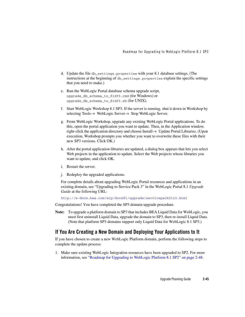- d. Update the file db\_settings.properties with your 8.1 database settings. (The instructions at the beginning of db\_settings.properties explain the specific settings that you need to make.)
- e. Run the WebLogic Portal database schema upgrade script, upgrade\_db\_schema\_to\_81SP3.cmd (for Windows) or upgrade\_db\_schema\_to\_81SP3.sh (for UNIX).
- f. Start WebLogic Workshop 8.1 SP3. If the server is running, shut it down in Workshop by selecting Tools → WebLogic Server → Stop WebLogic Server.
- g. From WebLogic Workshop, upgrade any existing WebLogic Portal applications. To do this, open the portal application you want to update. Then, in the Application window, right-click the application directory and choose Install→ Update Portal Libraries. (Upon execution, Workshop prompts you whether you want to overwrite these files with their new SP3 versions. Click OK.)
- h. After the portal application libraries are updated, a dialog box appears that lets you select Web projects in the application to update. Select the Web projects whose libraries you want to update, and click OK.
- i. Restart the server.
- j. Redeploy the upgraded applications.

For complete details about upgrading WebLogic Portal resources and applications in an existing domain, see "Upgrading to Service Pack 3" in the WebLogic Portal 8.1 *Upgrade Guide* at the following URL:

[http://e-docs.bea.com/wlp/docs81/upgrade/servicepack2to3.html](../../../wlp/docs81/upgrade/servicepack2to3.html)

Congratulations! You have completed the SP3 domain upgrade procedure.

**Note:** To upgrade a platform domain to SP3 that includes BEA Liquid Data for WebLogic, you must first uninstall Liquid Data, upgrade the domain to SP3, then re-install Liquid Data. (Note that platform SP3 domains support only Liquid Data for WebLogic 8.1 SP3.)

### <span id="page-54-0"></span>**If You Are Creating a New Domain and Deploying Your Applications to It**

If you have chosen to create a new WebLogic Platform domain, perform the following steps to complete the update process:

1. Make sure existing WebLogic Integration resources have been upgraded to SP2. For more information, see ["Roadmap for Upgrading to WebLogic Platform 8.1 SP2" on page 2-48](#page-57-0).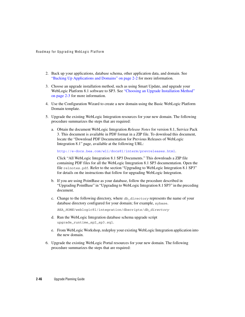#### Roadmap for Upgrading WebLogic Platform

- 2. Back up your applications, database schema, other application data, and domain. See ["Backing Up Applications and Domains" on page 2-2](#page-11-0) for more information.
- 3. Choose an upgrade installation method, such as using Smart Update, and upgrade your WebLogic Platform 8.1 software to SP3. See "Choosing an Upgrade Installation Method" [on page 2-3](#page-12-0) for more information.
- 4. Use the Configuration Wizard to create a new domain using the Basic WebLogic Platform Domain template.
- 5. Upgrade the existing WebLogic Integration resources for your new domain. The following procedure summarizes the steps that are required:
	- a. Obtain the document WebLogic Integration *Release Notes* for version 8.1, Service Pack 3. This document is available in PDF format in a ZIP file. To download this document, locate the "Download PDF Documentation for Previous Releases of WebLogic Integration 8.1" page, available at the following URL:

<http://e-docs.bea.com/wli/docs81/interm/prevreleases.html>.

Click "All WebLogic Integration 8.1 SP3 Documents." This downloads a ZIP file containing PDF files for all the WebLogic Integration 8.1 SP3 documentation. Open the file relnotes.pdf. Refer to the section "Upgrading to WebLogic Integration 8.1 SP3" for details on the instructions that follow for upgrading WebLogic Integration.

- b. If you are using PointBase as your database, follow the procedure described in "Upgrading PointBase" in "Upgrading to WebLogic Integration 8.1 SP3" in the preceding document.
- c. Change to the following directory, where db\_directory represents the name of your database directory configured for your domain; for example, sybase.

BEA\_HOME/weblogic81/integration/dbscripts/db\_directory

- d. Run the WebLogic Integration database schema upgrade script upgrade\_runtime\_sp2\_sp3.sql.
- e. From WebLogic Workshop, redeploy your existing WebLogic Integration application into the new domain.
- 6. Upgrade the existing WebLogic Portal resources for your new domain. The following procedure summarizes the steps that are required: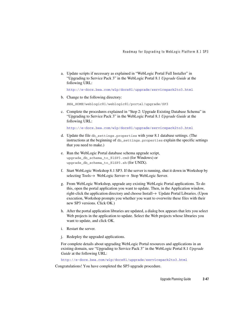a. Update scripts if necessary as explained in "WebLogic Portal Full Installer" in "Upgrading to Service Pack 3" in the WebLogic Portal 8.1 *Upgrade Guide* at the following URL:

[http://e-docs.bea.com/wlp/docs81/upgrade/servicepack2to3.html](../../../wlp/docs81/upgrade/servicepack2to3.html)

b. Change to the following directory:

BEA\_HOME/weblogic81/weblogic81/portal/upgrade/SP3

c. Complete the procedures explained in "Step 2: Upgrade Existing Database Schema" in "Upgrading to Service Pack 3" in the WebLogic Portal 8.1 *Upgrade Guide* at the following URL:

[http://e-docs.bea.com/wlp/docs81/upgrade/servicepack2to3.html](../../../wlp/docs81/upgrade/servicepack2to3.html)

- d. Update the file db\_settings.properties with your 8.1 database settings. (The instructions at the beginning of db\_settings.properties explain the specific settings that you need to make.)
- e. Run the WebLogic Portal database schema upgrade script, upgrade\_db\_schema\_to\_81SP3.cmd (for Windows) or upgrade\_db\_schema\_to\_81SP3.sh (for UNIX).
- f. Start WebLogic Workshop 8.1 SP3. If the server is running, shut it down in Workshop by selecting Tools → WebLogic Server → Stop WebLogic Server.
- g. From WebLogic Workshop, upgrade any existing WebLogic Portal applications. To do this, open the portal application you want to update. Then, in the Application window, right-click the application directory and choose Install→ Update Portal Libraries. (Upon execution, Workshop prompts you whether you want to overwrite these files with their new SP3 versions. Click OK.)
- h. After the portal application libraries are updated, a dialog box appears that lets you select Web projects in the application to update. Select the Web projects whose libraries you want to update, and click OK.
- i. Restart the server.
- j. Redeploy the upgraded applications.

For complete details about upgrading WebLogic Portal resources and applications in an existing domain, see "Upgrading to Service Pack 3" in the WebLogic Portal 8.1 *Upgrade Guide* at the following URL:

[http://e-docs.bea.com/wlp/docs81/upgrade/servicepack2to3.html](../../../wlp/docs81/upgrade/servicepack2to3.html)

Congratulations! You have completed the SP3 upgrade procedure.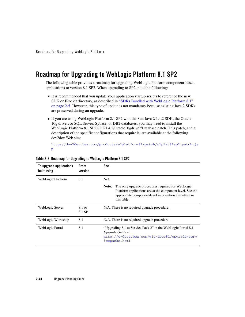### <span id="page-57-0"></span>**Roadmap for Upgrading to WebLogic Platform 8.1 SP2**

The following table provides a roadmap for upgrading WebLogic Platform component-based applications to version 8.1 SP2. When upgrading to SP2, note the following:

- It is recommended that you update your application startup scripts to reference the new SDK or JRockit directory, as described in ["SDKs Bundled with WebLogic Platform 8.1"](#page-14-0)  [on page 2-5.](#page-14-0) However, this type of update is not mandatory because existing Java 2 SDKs are preserved during an upgrade.
- If you are using WebLogic Platform 8.1 SP2 with the Sun Java 2 1.4.2 SDK, the Oracle 10g driver, or SQL Server, Sybase, or DB2 databases, you may need to install the WebLogic Platform 8.1 SP2 SDK1.4.2/Oracle10gdriver/Database patch. This patch, and a description of the specific configurations that require it, are available at the following dev2dev Web site:

[http://dev2dev.bea.com/products/wlplatform81/patch/wlplat81sp2\\_patch.js](http://dev2dev.bea.com/products/wlplatform81/patch/wlplat81sp2_patch.jsp) p

| To upgrade applications<br>built using | <b>From</b><br>version | See.                                                                                                                                                                                           |  |
|----------------------------------------|------------------------|------------------------------------------------------------------------------------------------------------------------------------------------------------------------------------------------|--|
| WebLogic Platform                      | 8.1                    | N/A                                                                                                                                                                                            |  |
|                                        |                        | The only upgrade procedures required for WebLogic<br>Note:<br>Platform applications are at the component level. See the<br>appropriate component-level information elsewhere in<br>this table. |  |
| WebLogic Server                        | 8.1 or<br>8.1 SP1      | N/A. There is no required upgrade procedure.                                                                                                                                                   |  |
| WebLogic Workshop                      | 8.1                    | N/A. There is no required upgrade procedure.                                                                                                                                                   |  |
| WebLogic Portal                        | 8.1                    | "Upgrading 8.1 to Service Pack 2" in the WebLogic Portal 8.1"<br>Upgrade Guide at<br>http://e-docs.bea.com/wlp/docs81/upgrade/serv<br>icepacks.html                                            |  |

### **Table 2-8 Roadmap for Upgrading to WebLogic Platform 8.1 SP2**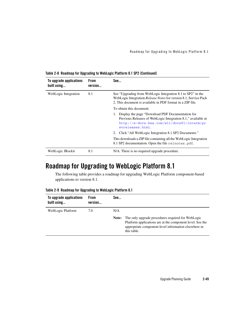| To upgrade applications<br>built using | <b>From</b><br>version | See                                                                                                                                                                                                  |
|----------------------------------------|------------------------|------------------------------------------------------------------------------------------------------------------------------------------------------------------------------------------------------|
| WebLogic Integration                   | 8.1                    | See "Upgrading from WebLogic Integration 8.1 to SP2" in the<br>WebLogic Integration <i>Release Notes</i> for version 8.1, Service Pack<br>2. This document is available in PDF format in a ZIP file. |
|                                        |                        | To obtain this document:                                                                                                                                                                             |
|                                        |                        | Display the page "Download PDF Documentation for<br>Previous Releases of WebLogic Integration 8.1," available at<br>http://e-docs.bea.com/wli/docs81/interm/pr<br>evreleases.html.                   |
|                                        |                        | 2. Click "All WebLogic Integration 8.1 SP2 Documents."                                                                                                                                               |
|                                        |                        | This downloads a ZIP file containing all the WebLogic Integration<br>8.1 SP2 documentation. Open the file relnotes.pdf.                                                                              |
| WebLogic JRockit                       | 8.1                    | N/A. There is no required upgrade procedure.                                                                                                                                                         |

**Table 2-8 Roadmap for Upgrading to WebLogic Platform 8.1 SP2 (Continued)**

### **Roadmap for Upgrading to WebLogic Platform 8.1**

The following table provides a roadmap for upgrading WebLogic Platform component-based applications to version 8.1.

| To upgrade applications<br>built using | <b>From</b><br>version | See   |                                                                                                                                                                                       |
|----------------------------------------|------------------------|-------|---------------------------------------------------------------------------------------------------------------------------------------------------------------------------------------|
| WebLogic Platform                      | 7.0                    | N/A   |                                                                                                                                                                                       |
|                                        |                        | Note: | The only upgrade procedures required for WebLogic<br>Platform applications are at the component level. See the<br>appropriate component-level information elsewhere in<br>this table. |

**Table 2-9 Roadmap for Upgrading to WebLogic Platform 8.1**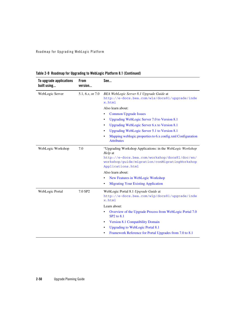| To upgrade applications<br>built using | <b>From</b><br>version | See                                                                                                                                                                                          |
|----------------------------------------|------------------------|----------------------------------------------------------------------------------------------------------------------------------------------------------------------------------------------|
| WebLogic Server                        | 5.1, 6.x, or $7.0$     | BEA WebLogic Server 8.1 Upgrade Guide at<br>http://e-docs.bea.com/wls/docs81/upgrade/inde<br>x.html                                                                                          |
|                                        |                        | Also learn about:                                                                                                                                                                            |
|                                        |                        | <b>Common Upgrade Issues</b>                                                                                                                                                                 |
|                                        |                        | Upgrading WebLogic Server 7.0 to Version 8.1                                                                                                                                                 |
|                                        |                        | Upgrading WebLogic Server 6.x to Version 8.1<br>٠                                                                                                                                            |
|                                        |                        | Upgrading WebLogic Server 5.1 to Version 8.1                                                                                                                                                 |
|                                        |                        | Mapping weblogic.properties to 6.x config.xml Configuration<br><b>Attributes</b>                                                                                                             |
| WebLogic Workshop                      | 7.0                    | "Upgrading Workshop Applications: in the WebLogic Workshop<br>Help at<br>http://e-docs.bea.com/workshop/docs81/doc/en/<br>workshop/guide/migration/conMigratingWorkshop<br>Applications.html |
|                                        |                        | Also learn about:                                                                                                                                                                            |
|                                        |                        | New Features in WebLogic Workshop<br>$\bullet$                                                                                                                                               |
|                                        |                        | <b>Migrating Your Existing Application</b>                                                                                                                                                   |
| WebLogic Portal                        | 7.0 SP2                | WebLogic Portal 8.1 Upgrade Guide at<br>http://e-docs.bea.com/wlp/docs81/upgrade/inde<br>x.html                                                                                              |
|                                        |                        | Learn about:                                                                                                                                                                                 |
|                                        |                        | Overview of the Upgrade Process from WebLogic Portal 7.0<br>SP <sub>2</sub> to 8.1                                                                                                           |
|                                        |                        | Version 8.1 Compatibility Domain                                                                                                                                                             |
|                                        |                        | <b>Upgrading to WebLogic Portal 8.1</b><br>$\bullet$                                                                                                                                         |
|                                        |                        | Framework Reference for Portal Upgrades from 7.0 to 8.1<br>٠                                                                                                                                 |

### **Table 2-9 Roadmap for Upgrading to WebLogic Platform 8.1 (Continued)**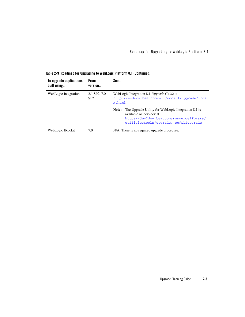| To upgrade applications<br>built using | <b>From</b><br>version          | See                                                                                                                                                                         |
|----------------------------------------|---------------------------------|-----------------------------------------------------------------------------------------------------------------------------------------------------------------------------|
| WebLogic Integration                   | 2.1 SP2, 7.0<br>SP <sub>2</sub> | WebLogic Integration 8.1 Upgrade Guide at<br>http://e-docs.bea.com/wli/docs81/upgrade/inde<br>x.html                                                                        |
|                                        |                                 | The Upgrade Utility for WebLogic Integration 8.1 is<br>Note:<br>available on dev2dev at<br>http://dev2dev.bea.com/resourcelibrary/<br>utilitiestools/upgrade.jsp#wliupgrade |
| WebLogic JRockit                       | 7.0                             | N/A. There is no required upgrade procedure.                                                                                                                                |

**Table 2-9 Roadmap for Upgrading to WebLogic Platform 8.1 (Continued)**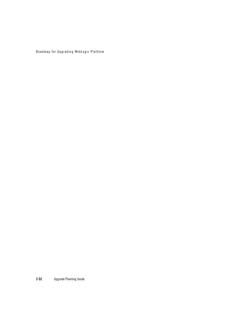Roadmap for Upgrading WebLogic Platform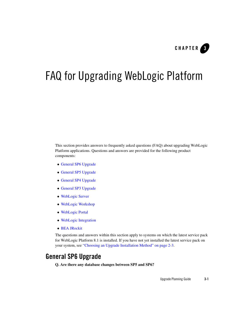

# <span id="page-62-0"></span>FAQ for Upgrading WebLogic Platform

This section provides answers to frequently asked questions (FAQ) about upgrading WebLogic Platform applications. Questions and answers are provided for the following product components:

- [General SP6 Upgrade](#page-62-1)
- [General SP5 Upgrade](#page-63-1)
- [General SP4 Upgrade](#page-63-0)
- [General SP3 Upgrade](#page-64-0)
- [WebLogic Server](#page-65-0)
- [WebLogic Workshop](#page-68-1)
- [WebLogic Portal](#page-72-0)
- [WebLogic Integration](#page-75-0)
- [BEA JRockit](#page-76-0)

The questions and answers within this section apply to systems on which the latest service pack for WebLogic Platform 8.1 is installed. If you have not yet installed the latest service pack on your system, see ["Choosing an Upgrade Installation Method" on page 2-3.](#page-12-1)

### <span id="page-62-1"></span>**General SP6 Upgrade**

**Q. Are there any database changes between SP5 and SP6?**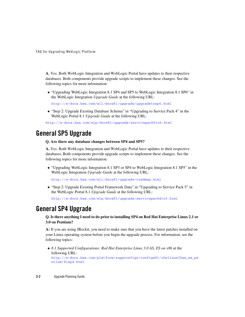**A.** Yes. Both WebLogic Integration and WebLogic Portal have updates to their respective databases. Both components provide upgrade scripts to implement these changes. See the following topics for more information:

• "Upgrading WebLogic Integration 8.1 SP4 and SP5 to WebLogic Integration 8.1 SP6" in the WebLogic Integration *Upgrade Guide* at the following URL:

[http://e-docs.bea.com/wli/docs81/upgrade/upgradetosp6.html](../../../wli/docs81/upgrade/upgradetosp6.html)

• "Step 2: Upgrade Existing Database Schema" in "Upgrading to Service Pack 4" in the WebLogic Portal 8.1 *Upgrade Guide* at the following URL:

[http://e-docs.bea.com/wlp/docs81/upgrade/servicepack5to6.html](../../../wlp/docs81/upgrade/servicepack5to6.html)

### <span id="page-63-1"></span>**General SP5 Upgrade**

### **Q. Are there any database changes between SP4 and SP5?**

**A.** Yes. Both WebLogic Integration and WebLogic Portal have updates to their respective databases. Both components provide upgrade scripts to implement these changes. See the following topics for more information:

• "Upgrading WebLogic Integration 8.1 SP3 or SP4 to WebLogic Integration 8.1 SP5" in the WebLogic Integration *Upgrade Guide* at the following URL:

[http://e-docs.bea.com/wli/docs81/upgrade/roadmap.html](../../../wli/docs81/upgrade/roadmap.html)

• "Step 2: Upgrade Existing Portal Framework Data" in "Upgrading to Service Pack 5" in the WebLogic Portal 8.1 *Upgrade Guide* at the following URL:

[http://e-docs.bea.com/wlp/docs81/upgrade/servicepack4to5.html](../../../wlp/docs81/upgrade/servicepack4to5.html)

### <span id="page-63-0"></span>**General SP4 Upgrade**

### **Q. Is there anything I need to do prior to installing SP4 on Red Hat Enterprise Linux 2.1 or 3.0 on Pentium?**

**A:** If you are using JRockit, you need to make sure that you have the latest patches installed on your Linux operating system before you begin the upgrade process. For information, see the following topics:

• 8.1 Supported Configurations: Red Hat Enterprise Linux 3.0 AS, ES on x86 at the following URL:

[http://e-docs.bea.com/platform/suppconfigs/configs81/rhelinux30as\\_es\\_pe](../../suppconfigs/configs81/rhelinux30as_es_pentium/81sp4.html) [ntium/81sp4.html](../../suppconfigs/configs81/rhelinux30as_es_pentium/81sp4.html)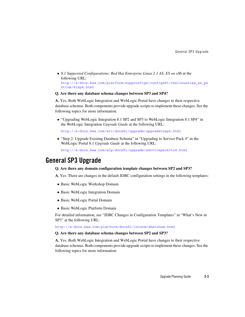• 8.1 Supported Configurations: Red Hat Enterprise Linux 2.1 AS, ES on x86 at the following URL: [http://e-docs.bea.com/platform/suppconfigs/configs81/rhelinux21as\\_es\\_pe](../../suppconfigs/configs81/rhelinux21as_es_pentium/81sp4.html) ntium/81sp4.html

### **Q. Are there any database schema changes between SP3 and SP4?**

**A.** Yes. Both WebLogic Integration and WebLogic Portal have changes to their respective database schemas. Both components provide upgrade scripts to implement these changes. See the following topics for more information:

• "Upgrading WebLogic Integration 8.1 SP2 and SP3 to WebLogic Integration 8.1 SP4" in the WebLogic Integration *Upgrade Guide* at the following URL:

[http://e-docs.bea.com/wli/docs81/upgrade/upgradetosp4.html](../../../wli/docs81/upgrade/upgradetosp4.html)

• "Step 2: Upgrade Existing Database Schema" in "Upgrading to Service Pack 4" in the WebLogic Portal 8.1 *Upgrade Guide* at the following URL:

[http://e-docs.bea.com/wlp/docs81/upgrade/servicepack3to4.html](../../../wlp/docs81/upgrade/servicepack3to4.html)

### <span id="page-64-0"></span>**General SP3 Upgrade**

### **Q. Are there any domain configuration template changes between SP2 and SP3?**

**A.** Yes. There are changes in the default JDBC configuration settings in the following templates:

- Basic WebLogic Workshop Domain
- Basic WebLogic Integration Domain
- Basic WebLogic Portal Domain
- Basic WebLogic Platform Domain

For detailed information, see "JDBC Changes in Configuration Templates" in "What's New in SP3" at the following URL:

[http://e-docs.bea.com/platform/docs81/interm/whatsnew.html](../interm/whatsnew.html)

### **Q. Are there any database schema changes between SP2 and SP3?**

**A.** Yes. Both WebLogic Integration and WebLogic Portal have changes to their respective database schemas. Both components provide upgrade scripts to implement these changes. See the following topics for more information: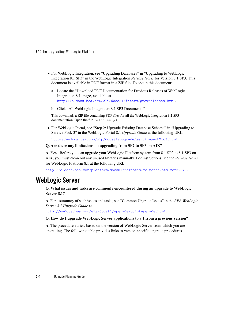FAQ for Upgrading WebLogic Platform

- For WebLogic Integration, see "Upgrading Databases" in "Upgrading to WebLogic Integration 8.1 SP3" in the WebLogic Integration *Release Notes* for Version 8.1 SP3. This document is available in PDF format in a ZIP file. To obtain this document:
	- a. Locate the "Download PDF Documentation for Previous Releases of WebLogic Integration 8.1" page, available at <http://e-docs.bea.com/wli/docs81/interm/prevreleases.html>.
	- b. Click "All WebLogic Integration 8.1 SP3 Documents."

This downloads a ZIP file containing PDF files for all the WebLogic Integration 8.1 SP3 documentation. Open the file relnotes.pdf.

• For WebLogic Portal, see "Step 2: Upgrade Existing Database Schema" in "Upgrading to Service Pack 3" in the WebLogic Portal 8.1 *Upgrade Guide* at the following URL:

[http://e-docs.bea.com/wlp/docs81/upgrade/servicepack2to3.html](../../../wlp/docs81/upgrade/servicepack2to3.html)

#### **Q. Are there any limitations on upgrading from SP2 to SP3 on AIX?**

**A.** Yes. Before you can upgrade your WebLogic Platform system from 8.1 SP2 to 8.1 SP3 on AIX, you must clean out any unused libraries manually. For instructions, see the *Release Notes* for WebLogic Platform 8.1 at the following URL:

[http://e-docs.bea.com/platform/docs81/relnotes/relnotes.html#cr206782](../relnotes/relnotes.html#cr206782)

### <span id="page-65-0"></span>**WebLogic Server**

### **Q. What issues and tasks are commonly encountered during an upgrade to WebLogic Server 8.1?**

**A.** For a summary of such issues and tasks, see "Common Upgrade Issues" in the *BEA WebLogic Server 8.1 Upgrade Guide* at

[http://e-docs.bea.com/wls/docs81/upgrade/quickupgrade.html](../../../wls/docs81/upgrade/quickupgrade.html).

#### **Q. How do I upgrade WebLogic Server applications to 8.1 from a previous version?**

**A.** The procedure varies, based on the version of WebLogic Server from which you are upgrading. The following table provides links to version-specific upgrade procedures.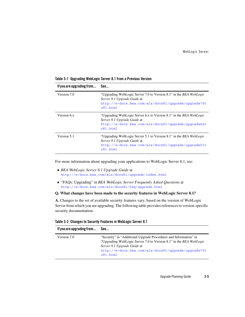|  |  | Table 3-1 Upgrading WebLogic Server 8.1 from a Previous Version |  |  |  |  |
|--|--|-----------------------------------------------------------------|--|--|--|--|
|--|--|-----------------------------------------------------------------|--|--|--|--|

| Version 7.0 | "Upgrading WebLogic Server 7.0 to Version 8.1" in the BEA WebLogic<br>Server 8.1 Upgrade Guide at<br>http://e-docs.bea.com/wls/docs81/upgrade/upgrade70t<br>o81.html |
|-------------|----------------------------------------------------------------------------------------------------------------------------------------------------------------------|
| Version 6.x | "Upgrading WebLogic Server 6.x to Version 8.1" in the BEA WebLogic<br>Server 8.1 Upgrade Guide at<br>http://e-docs.bea.com/wls/docs81/upgrade/upgrade6xt<br>o81.html |
| Version 5.1 | "Upgrading WebLogic Server 5.1 to Version 8.1" in the BEA WebLogic<br>Server 8.1 Upgrade Guide at<br>http://e-docs.bea.com/wls/docs81/upgrade/upgrade51t<br>o81.html |

**If you are upgrading from... See...**

For more information about upgrading your applications to WebLogic Server 8.1, see:

- <sup>z</sup> *BEA WebLogic Server 8.1 Upgrade Guide* at [http://e-docs.bea.com/wls/docs81/upgrade/index.html](../../../wls/docs81/upgrade/index.html)
- <sup>z</sup> "FAQs: Upgrading" in *BEA WebLogic Server Frequently Asked Questions* at [http://e-docs.bea.com/wls/docs81/faq/upgrade.html](../../../wls/docs81/faq/upgrade.html)

#### **Q. What changes have been made to the security features in WebLogic Server 8.1?**

**A.** Changes to the set of available security features vary, based on the version of WebLogic Server from which you are upgrading. The following table provides references to version-specific security documentation.

| If you are upgrading from | See                                                                                                                                                                                                                                             |
|---------------------------|-------------------------------------------------------------------------------------------------------------------------------------------------------------------------------------------------------------------------------------------------|
| Version 7.0               | "Security" in "Additional Upgrade Procedures and Information" in<br>"Upgrading WebLogic Server 7.0 to Version 8.1" in the <i>BEA WebLogic</i><br>Server 8.1 Upgrade Guide at<br>http://e-docs.bea.com/wls/docs81/upgrade/upgrade70t<br>o81.html |

|  |  |  | Table 3-2 Changes to Security Features in WebLogic Server 8.1 |  |
|--|--|--|---------------------------------------------------------------|--|
|--|--|--|---------------------------------------------------------------|--|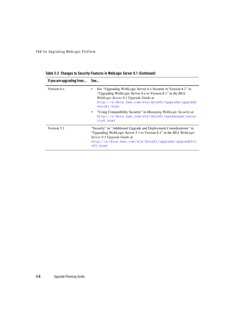| If you are upgrading from | See                                                                                                                                                                                                                                                                                                                                                                                                 |  |
|---------------------------|-----------------------------------------------------------------------------------------------------------------------------------------------------------------------------------------------------------------------------------------------------------------------------------------------------------------------------------------------------------------------------------------------------|--|
| Version 6.x               | See "Upgrading WebLogic Server 6.x Security to Version 8.1" in<br>٠<br>"Upgrading WebLogic Server 6.x to Version 8.1" in the BEA<br>WebLogic Server 8.1 Upgrade Guide at<br>http://e-docs.bea.com/wls/docs81/upgrade/upgrade<br>$6x \text{to} 81$ . html<br>"Using Compatibility Security" in <i>Managing WebLogic Security</i> at<br>http://e-docs.bea.com/wls/docs81/secmanage/secur<br>ity6.html |  |
| Version 5.1               | "Security" in "Additional Upgrade and Deployment Considerations" in<br>"Upgrading WebLogic Server 5.1 to Version 8.1" in the BEA WebLogic<br>Server 8.1 Upgrade Guide at<br>http://e-docs.bea.com/wls/docs81/upgrade/upgrade51t<br>o81.html                                                                                                                                                         |  |

**Table 3-2 Changes to Security Features in WebLogic Server 8.1 (Continued)**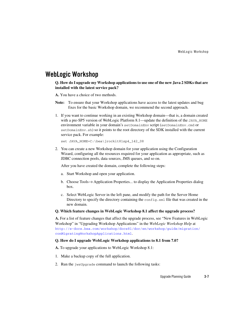### <span id="page-68-1"></span><span id="page-68-0"></span>**WebLogic Workshop**

### **Q. How do I upgrade my Workshop applications to use one of the new Java 2 SDKs that are installed with the latest service pack?**

**A.** You have a choice of two methods.

- **Note:** To ensure that your Workshop applications have access to the latest updates and bug fixes for the basic Workshop domain, we recommend the second approach.
- 1. If you want to continue working in an existing Workshop domain—that is, a domain created with a pre-SP5 version of WebLogic Platform 8.1—update the definition of the JAVA\_HOME environment variable in your domain's setDomainEnv script (setDomainEnv.cmd or setDomainEnv.sh) so it points to the root directory of the SDK installed with the current service pack. For example:

```
set JAVA HOME=C:\bea\jrockit81sp4_142_08
```
2. You can create a new Workshop domain for your application using the Configuration Wizard, configuring all the resources required for your application as appropriate, such as JDBC connection pools, data sources, JMS queues, and so on.

After you have created the domain, complete the following steps:

- a. Start Workshop and open your application.
- b. Choose Tools→ Application Properties... to display the Application Properties dialog box.
- c. Select WebLogic Server in the left pane, and modify the path for the Server Home Directory to specify the directory containing the config. xml file that was created in the new domain.

### **Q. Which feature changes in WebLogic Workshop 8.1 affect the upgrade process?**

**A.** For a list of feature changes that affect the upgrade process, see "New Features in WebLogic Workshop" in "Upgrading Workshop Applications" in the *WebLogic Workshop Help* at [http://e-docs.bea.com/workshop/docs81/doc/en/workshop/guide/migration/](../../../workshop/docs81/doc/en/workshop/guide/migration/conMigratingWorkshopApplications.html) [conMigratingWorkshopApplications.html](../../../workshop/docs81/doc/en/workshop/guide/migration/conMigratingWorkshopApplications.html).

### **Q. How do I upgrade WebLogic Workshop applications to 8.1 from 7.0?**

**A.** To upgrade your applications to WebLogic Workshop 8.1:

- 1. Make a backup copy of the full application.
- 2. Run the jwsUpgrade command to launch the following tasks: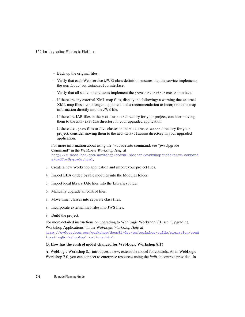- Back up the original files.
- Verify that each Web service (JWS) class definition ensures that the service implements the com.bea.jws.WebService interface.
- $-$  Verify that all static inner classes implement the java.io. Serializable interface.
- If there are any external XML map files, display the following: a warning that external XML map files are no longer supported, and a recommendation to incorporate the map information directly into the JWS file.
- If there are JAR files in the WEB-INF/lib directory for your project, consider moving them to the APP-INF/lib directory in your upgraded application.
- If there are .java files or Java classes in the WEB-INF/classes directory for your project, consider moving them to the APP-INF/classes directory in your upgraded application.

For more information about using the jwsUpgrade command, see "jwsUpgrade Command" in the *WebLogic Workshop Help* at [http://e-docs.bea.com/workshop/docs81/doc/en/workshop/reference/command](../../../workshop/docs81/doc/en/workshop/reference/commands/cmdJwsUpgrade.html) [s/cmdJwsUpgrade.html](../../../workshop/docs81/doc/en/workshop/reference/commands/cmdJwsUpgrade.html).

- 3. Create a new Workshop application and import your project files.
- 4. Import EJBs or deployable modules into the Modules folder.
- 5. Import local library JAR files into the Libraries folder.
- 6. Manually upgrade all control files.
- 7. Move inner classes into separate class files.
- 8. Incorporate external map files into JWS files.
- 9. Build the project.

For more detailed instructions on upgrading to WebLogic Workshop 8.1, see "Upgrading Workshop Applications" in the W*ebLogic Workshop Help* at

[http://e-docs.bea.com/workshop/docs81/doc/en/workshop/guide/migration/conM](../../../workshop/docs81/doc/en/workshop/guide/migration/conMigratingWorkshopApplications.html) [igratingWorkshopApplications.html](../../../workshop/docs81/doc/en/workshop/guide/migration/conMigratingWorkshopApplications.html).

#### **Q. How has the control model changed for WebLogic Workshop 8.1?**

**A.** WebLogic Workshop 8.1 introduces a new, extensible model for controls. As in WebLogic Workshop 7.0, you can connect to enterprise resources using the *built-in* controls provided. In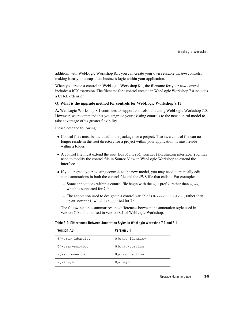addition, with WebLogic Workshop 8.1, you can create your own reusable *custom* controls, making it easy to encapsulate business logic within your application.

When you create a control in WebLogic Workshop 8.1, the filename for your new control includes a JCX extension. The filename for a control created in WebLogic Workshop 7.0 includes a CTRL extension.

### **Q. What is the upgrade method for controls for WebLogic Workshop 8.1?**

**A.** WebLogic Workshop 8.1 continues to support controls built using WebLogic Workshop 7.0. However, we recommend that you upgrade your existing controls to the new control model to take advantage of its greater flexibility.

Please note the following:

- Control files must be included in the package for a project. That is, a control file can no longer reside in the root directory for a project within your application; it must reside within a folder.
- A control file must extend the com.bea.Control.ControlExtension interface. You may need to modify the control file in Source View in WebLogic Workshop to extend the interface.
- If you upgrade your existing controls to the new model, you may need to manually edit some annotations in both the control file and the JWS file that calls it. For example:
	- Some annotations within a control file begin with the  $\mathbb{Q}_1$  prefix, rather than  $\mathbb{Q}_1$  ws, which is supported for 7.0.
	- The annotation used to designate a control variable is @common:control, rather than @jws:control, which is supported for 7.0.

The following table summarizes the differences between the annotation style used in version 7.0 and that used in version 8.1 of WebLogic Workshop.

| Version 7.0      | <b>Version 8.1</b>      |
|------------------|-------------------------|
| @jws:av-identity | $\theta$ ic:av-identity |
| @jws:av-service  | @jc:av-service          |
| @jws:connection  | @jc:connection          |
| @jws:ejb         | @jc:ejb                 |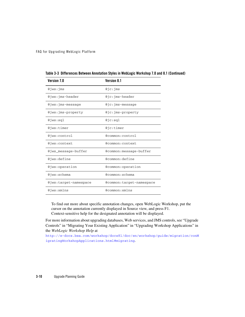| Version 7.0                          | <b>Version 8.1</b>        |
|--------------------------------------|---------------------------|
| $Q_jws:jms$                          | $\text{Gic:}$ jms         |
| $Q_1$ ws: $\text{ims}-\text{header}$ | $\theta$ jc:jms-header    |
| $\theta$ jws:jms-message             | $\theta$ jc: jms-message  |
| @jws:jms-property                    | $\theta$ jc: jms-property |
| $Q_jws:sq1$                          | $\theta$ jc:sql           |
| @jws:timer                           | @jc:timer                 |
| @jws:control                         | @common:control           |
| @jws:context                         | @common:context           |
| @jws_message-buffer                  | @common:message-buffer    |
| @jws:define                          | @common:define            |
| @jws:operation                       | @common:operation         |
| @jws:schema                          | @common:schema            |
| @jws:target-namespace                | @common:target-namespace  |
| @jws:xmlns                           | @common:xmlns             |

**Table 3-3 Differences Between Annotation Styles in WebLogic Workshop 7.0 and 8.1 (Continued)**

To find out more about specific annotation changes, open WebLogic Workshop, put the cursor on the annotation currently displayed in Source view, and press F1. Context-sensitive help for the designated annotation will be displayed.

For more information about upgrading databases, Web services, and JMS controls, see "Upgrade Controls" in "Migrating Your Existing Application" in "Upgrading Workshop Applications" in the *WebLogic Workshop Help* at

[http://e-docs.bea.com/workshop/docs81/doc/en/workshop/guide/migration/conM](../../../workshop/docs81/doc/en/workshop/guide/migration/conMigratingWorkshopApplications.html#migrating) [igratingWorkshopApplications.html#migrating](../../../workshop/docs81/doc/en/workshop/guide/migration/conMigratingWorkshopApplications.html#migrating).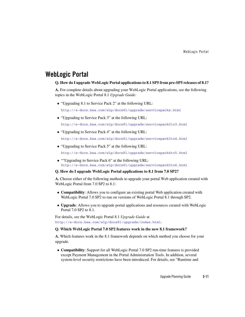# **WebLogic Portal**

## **Q. How do I upgrade WebLogic Portal applications to 8.1 SP5 from pre-SP5 releases of 8.1?**

**A.** For complete details about upgrading your WebLogic Portal applications, see the following topics in the WebLogic Portal 8.1 *Upgrade Guide*:

• "Upgrading 8.1 to Service Pack 2" at the following URL:

[http://e-docs.bea.com/wlp/docs81/upgrade/servicepacks.html](../../../wlp/docs81/upgrade/servicepacks.html)

• "Upgrading to Service Pack 3" at the following URL:

[http://e-docs.bea.com/wlp/docs81/upgrade/servicepack2to3.html](../../../wlp/docs81/upgrade/servicepack2to3.html)

• "Upgrading to Service Pack 4" at the following URL:

[http://e-docs.bea.com/wlp/docs81/upgrade/servicepack3to4.html](../../../wlp/docs81/upgrade/servicepack3to4.html)

• "Upgrading to Service Pack 5" at the following URL:

[http://e-docs.bea.com/wlp/docs81/upgrade/servicepack4to5.html](../../../wlp/docs81/upgrade/servicepack4to5.html)

• ""Upgrading to Service Pack 6" at the following URL: [http://e-docs.bea.com/wlp/docs81/upgrade/servicepack5to6.html](../../../wlp/docs81/upgrade/servicepack5to6.html)

### **Q. How do I upgrade WebLogic Portal applications to 8.1 from 7.0 SP2?**

**A.** Choose either of the following methods to upgrade your portal Web application created with WebLogic Portal from 7.0 SP2 to 8.1:

- **Compatibility**: Allows you to configure an existing portal Web application created with WebLogic Portal 7.0 SP2 to run on versions of WebLogic Portal 8.1 through SP2.
- **Upgrade**: Allows you to upgrade portal applications and resources created with WebLogic Portal 7.0 SP2 to 8.1.

For details, see the WebLogic Portal 8.1 *Upgrade Guide* at [http://e-docs.bea.com/wlp/docs81/upgrade/index.html](../../../wlp/docs81/upgrade/index.html).

### **Q. Which WebLogic Portal 7.0 SP2 features work in the new 8.1 framework?**

**A.** Which features work in the 8.1 framework depends on which method you choose for your upgrade.

• **Compatibility**: Support for all WebLogic Portal 7.0 SP2 run-time features is provided except Payment Management in the Portal Administration Tools. In addition, several system-level security restrictions have been introduced. For details, see "Runtime and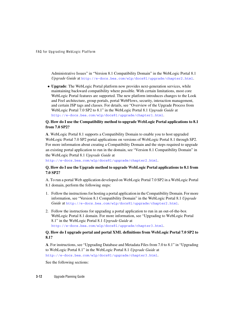Administrative Issues" in "Version 8.1 Compatibility Domain" in the WebLogic Portal 8.1 *Upgrade Guide* at [http://e-docs.bea.com/wlp/docs81/upgrade/chapter2.html](../../../wlp/docs81/upgrade/chapter2.html).

• **Upgrade**: The WebLogic Portal platform now provides next-generation services, while maintaining backward compatibility where possible. With certain limitations, most core WebLogic Portal features are supported. The new platform introduces changes to the Look and Feel architecture, group portals, portal WebFlows, security, interaction management, and certain JSP tags and classes. For details, see "Overview of the Upgrade Process from WebLogic Portal 7.0 SP2 to 8.1" in the WebLogic Portal 8.1 *Upgrade Guide* at [http://e-docs.bea.com/wlp/docs81/upgrade/chapter1.html](../../../wlp/docs81/upgrade/chapter1.html).

## **Q. How do I use the Compatibility method to upgrade WebLogic Portal applications to 8.1 from 7.0 SP2?**

**A**. WebLogic Portal 8.1 supports a Compatibility Domain to enable you to host upgraded WebLogic Portal 7.0 SP2 portal applications on versions of WebLogic Portal 8.1 through SP2. For more information about creating a Compatibility Domain and the steps required to upgrade an existing portal application to run in the domain, see "Version 8.1 Compatibility Domain" in the WebLogic Portal 8.1 *Upgrade Guide* at

[http://e-docs.bea.com/wlp/docs81/upgrade/chapter2.html](../../../wlp/docs81/upgrade/chapter2.html).

# **Q. How do I use the Upgrade method to upgrade WebLogic Portal applications to 8.1 from 7.0 SP2?**

A. To run a portal Web application developed on WebLogic Portal 7.0 SP2 in a WebLogic Portal 8.1 domain, perform the following steps:

- 1. Follow the instructions for hosting a portal application in the Compatibility Domain. For more information, see "Version 8.1 Compatibility Domain" in the WebLogic Portal 8.1 *Upgrade Guide* at [http://e-docs.bea.com/wlp/docs81/upgrade/chapter2.html](../../../wlp/docs81/upgrade/chapter2.html).
- 2. Follow the instructions for upgrading a portal application to run in an out-of-the-box WebLogic Portal 8.1 domain. For more information, see "Upgrading to WebLogic Portal 8.1" in the WebLogic Portal 8.1 *Upgrade Guide* at [http://e-docs.bea.com/wlp/docs81/upgrade/chapter3.html](../../../wlp/docs81/upgrade/chapter3.html).

## **Q. How do I upgrade portal and portal XML definitions from WebLogic Portal 7.0 SP2 to 8.1?**

**A**. For instructions, see "Upgrading Database and Metadata Files from 7.0 to 8.1" in "Upgrading to WebLogic Portal 8.1" in the WebLogic Portal 8.1 *Upgrade Guide* at [http://e-docs.bea.com/wlp/docs81/upgrade/chapter3.html](../../../wlp/docs81/upgrade/chapter3.html).

See the following sections: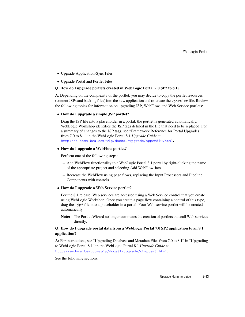- Upgrade Application-Sync Files
- Upgrade Portal and Portlet Files

## **Q. How do I upgrade portlets created in WebLogic Portal 7.0 SP2 to 8.1?**

**A**. Depending on the complexity of the portlet, you may decide to copy the portlet resources (content JSPs and backing files) into the new application and re-create the .portlet file. Review the following topics for information on upgrading JSP, WebFlow, and Web Service portlets:

### • How do I upgrade a simple JSP portlet?

Drag the JSP file into a placeholder in a portal; the portlet is generated automatically. WebLogic Workshop identifies the JSP tags defined in the file that need to be replaced. For a summary of changes to the JSP tags, see "Framework Reference for Portal Upgrades from 7.0 to 8.1" in the WebLogic Portal 8.1 *Upgrade Guide* at [http://e-docs.bea.com/wlp/docs81/upgrade/appendix.html](../../../wlp/docs81/upgrade/appendix.html).

### • How do I upgrade a WebFlow portlet?

Perform one of the following steps:

- Add WebFlow functionality to a WebLogic Portal 8.1 portal by right-clicking the name of the appropriate project and selecting Add WebFlow Jars.
- Recreate the WebFlow using page flows, replacing the Input Processors and Pipeline Components with controls.

## • How do I upgrade a Web Service portlet?

For the 8.1 release, Web services are accessed using a Web Service control that you create using WebLogic Workshop. Once you create a page flow containing a control of this type, drag the .jpf file into a placeholder in a portal. Your Web service portlet will be created automatically.

**Note:** The Portlet Wizard no longer automates the creation of portlets that call Web services directly.

## **Q: How do I upgrade portal data from a WebLogic Portal 7.0 SP2 application to an 8.1 application?**

**A:** For instructions, see "Upgrading Database and Metadata Files from 7.0 to 8.1" in "Upgrading to WebLogic Portal 8.1" in the WebLogic Portal 8.1 *Upgrade Guide* at [http://e-docs.bea.com/wlp/docs81/upgrade/chapter3.html](../../../wlp/docs81/upgrade/chapter3.html).

See the following sections: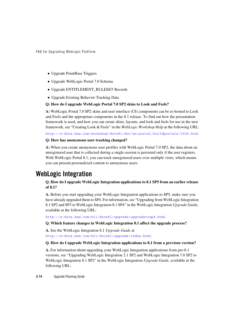FAQ for Upgrading WebLogic Platform

- Upgrade PointBase Triggers
- Upgrade WebLogic Portal 7.0 Schema
- Upgrade ENTITLEMENT\_RULESET Records
- Upgrade Existing Behavior Tracking Data

# **Q: How do I upgrade WebLogic Portal 7.0 SP2 skins to Look and Feels?**

**A:** WebLogic Portal 7.0 SP2 skins and user interface (UI) components can be re-hosted to Look and Feels and the appropriate components in the 8.1 release. To find out how the presentation framework is used, and how you can create skins, layouts, and look and feels for use in the new framework, see "Creating Look & Feels" in the *WebLogic Workshop Help* at the following URL:

[http://e-docs.bea.com/workshop/docs81/doc/en/portal/buildportals/ifLF.html](../../../workshop/docs81/doc/en/portal/buildportals/ifLF.html)

# **Q: How has anonymous user tracking changed?**

**A:** When you create anonymous user profiles with WebLogic Portal 7.0 SP2, the data about an unregistered user that is collected during a single session is persisted only if the user registers. With WebLogic Portal 8.1, you can track unregistered users over multiple visits, which means you can present personalized content to anonymous users.

# **WebLogic Integration**

# **Q. How do I upgrade WebLogic Integration applications to 8.1 SP5 from an earlier release of 8.1?**

**A.** Before you start upgrading your WebLogic Integration applications to SP5, make sure you have already upgraded them to SP4. For information, see "Upgrading from WebLogic Integration 8.1 SP2 and SP3 to WebLogic Integration 8.1 SP4" in the WebLogic Integration *Upgrade Guide*, available at the following URL:

[http://e-docs.bea.com/wli/docs81/upgrade/upgradetosp4.html](../../../wli/docs81/upgrade/upgradetosp4.html)

# **Q. Which feature changes in WebLogic Integration 8.1 affect the upgrade process?**

**A.** See the WebLogic Integration 8.1 *Upgrade Guide* at [http://e-docs.bea.com/wli/docs81/upgrade/index.html](../../../wli/docs81/upgrade/index.html).

# **Q. How do I upgrade WebLogic Integration applications to 8.1 from a previous version?**

**A.** For information about upgrading your WebLogic Integration applications from pre-8.1 versions, see "Upgrading WebLogic Integration 2.1 SP2 and WebLogic Integration 7.0 SP2 to WebLogic Integration 8.1 SP2" in the WebLogic Integration *Upgrade Guide*, available at the following URL: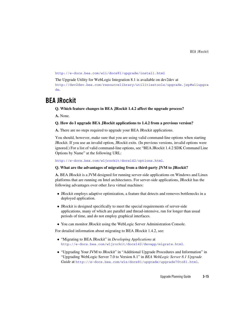[http://e-docs.bea.com/wli/docs81/upgrade/install.html](../../../wli/docs81/upgrade/install.html)

The Upgrade Utility for WebLogic Integration 8.1 is available on dev2dev at [http://dev2dev.bea.com/resourcelibrary/utilitiestools/upgrade.jsp#wliupgra](http://dev2dev.bea.com/resourcelibrary/utilitiestools/upgrade.jsp#wliupgrade) [de](http://dev2dev.bea.com/resourcelibrary/utilitiestools/upgrade.jsp#wliupgrade).

# **BEA JRockit**

## **Q. Which feature changes in BEA JRockit 1.4.2 affect the upgrade process?**

**A.** None.

## **Q. How do I upgrade BEA JRockit applications to 1.4.2 from a previous version?**

**A.** There are no steps required to upgrade your BEA JRockit applications.

You should, however, make sure that you are using valid command-line options when starting JRockit. If you use an invalid option, JRockit exits. (In previous versions, invalid options were ignored.) For a list of valid command-line options, see "BEA JRockit 1.4.2 SDK Command Line Options by Name" at the following URL:

[http://e-docs.bea.com/wljrockit/docs142/options.html](../../../wljrockit/docs142/options.html).

### **Q. What are the advantages of migrating from a third-party JVM to JRockit?**

**A.** BEA JRockit is a JVM designed for running server-side applications on Windows and Linux platforms that are running on Intel architectures. For server-side applications, JRockit has the following advantages over other Java virtual machines:

- JRockit employs adaptive optimization, a feature that detects and removes bottlenecks in a deployed application.
- JRockit is designed specifically to meet the special requirements of server-side applications, many of which are parallel and thread-intensive, run for longer than usual periods of time, and do not employ graphical interfaces.
- You can monitor JRockit using the WebLogic Server Administration Console.

For detailed information about migrating to BEA JRockit 1.4.2, see:

- <sup>z</sup> "Migrating to BEA JRockit" in *Developing Applications* at [http://e-docs.bea.com/wljrockit/docs142/devapp/migrate.html](../../../wljrockit/docs142/devapp/migrate.html).
- "Upgrading Your JVM to JRockit" in "Additional Upgrade Procedures and Information" in "Upgrading WebLogic Server 7.0 to Version 8.1" in *BEA WebLogic Server 8.1 Upgrade Guide* at [http://e-docs.bea.com/wls/docs81/upgrade/upgrade70to81.html](../../../wls/docs81/upgrade/upgrade70to81.html).